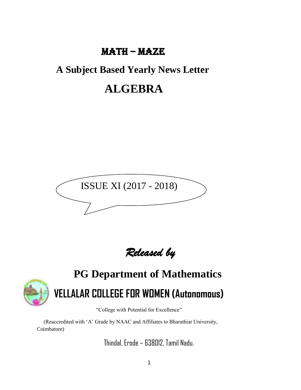# MATH – MAZE

# **A Subject Based Yearly News Letter**

# **ALGEBRA**



*Released by* 



# **PG Department of Mathematics VELLALAR COLLEGE FOR WOMEN (Autonomous)**

"College with Potential for Excellence"

 (Reaccredited with 'A' Grade by NAAC and Affiliates to Bharathiar University, Coimbatore)

Thindal, Erode – 638012, Tamil Nadu.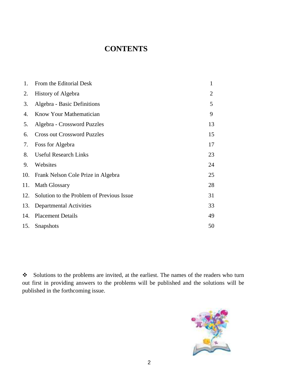# **CONTENTS**

| 1.  | From the Editorial Desk                   | $\mathbf{1}$   |
|-----|-------------------------------------------|----------------|
| 2.  | <b>History of Algebra</b>                 | $\overline{2}$ |
| 3.  | Algebra - Basic Definitions               | 5              |
| 4.  | Know Your Mathematician                   | 9              |
| 5.  | Algebra - Crossword Puzzles               | 13             |
| 6.  | <b>Cross out Crossword Puzzles</b>        | 15             |
| 7.  | Foss for Algebra                          | 17             |
| 8.  | <b>Useful Research Links</b>              | 23             |
| 9.  | Websites                                  | 24             |
| 10. | Frank Nelson Cole Prize in Algebra        | 25             |
| 11. | Math Glossary                             | 28             |
| 12. | Solution to the Problem of Previous Issue | 31             |
| 13. | <b>Departmental Activities</b>            | 33             |
| 14. | <b>Placement Details</b>                  | 49             |
| 15. | Snapshots                                 | 50             |
|     |                                           |                |

❖ Solutions to the problems are invited, at the earliest. The names of the readers who turn out first in providing answers to the problems will be published and the solutions will be published in the forthcoming issue.

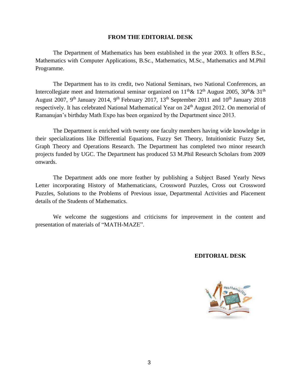#### **FROM THE EDITORIAL DESK**

The Department of Mathematics has been established in the year 2003. It offers B.Sc., Mathematics with Computer Applications, B.Sc., Mathematics, M.Sc., Mathematics and M.Phil Programme.

The Department has to its credit, two National Seminars, two National Conferences, an Intercollegiate meet and International seminar organized on  $11<sup>th</sup> \& 12<sup>th</sup>$  August 2005, 30<sup>th</sup>  $\&$  31<sup>th</sup> August 2007, 9<sup>th</sup> January 2014, 9<sup>th</sup> February 2017, 13<sup>th</sup> September 2011 and 10<sup>th</sup> January 2018 respectively. It has celebrated National Mathematical Year on 24<sup>th</sup> August 2012. On memorial of Ramanujan's birthday Math Expo has been organized by the Department since 2013.

The Department is enriched with twenty one faculty members having wide knowledge in their specializations like Differential Equations, Fuzzy Set Theory, Intuitionistic Fuzzy Set, Graph Theory and Operations Research. The Department has completed two minor research projects funded by UGC. The Department has produced 53 M.Phil Research Scholars from 2009 onwards.

The Department adds one more feather by publishing a Subject Based Yearly News Letter incorporating History of Mathematicians, Crossword Puzzles, Cross out Crossword Puzzles, Solutions to the Problems of Previous issue, Departmental Activities and Placement details of the Students of Mathematics.

We welcome the suggestions and criticisms for improvement in the content and presentation of materials of "MATH-MAZE".

## **EDITORIAL DESK**

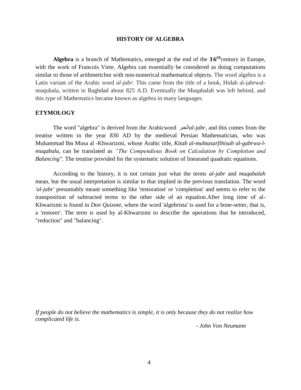## **HISTORY OF ALGEBRA**

**Algebra** is a branch of Mathematics, emerged at the end of the  $16^{th}$ century in Europe, with the work of [Francois Viete.](https://en.wikipedia.org/wiki/Fran%C3%A7ois_Vi%C3%A8te) Algebra can essentially be considered as doing computations similar to those of [arithmeticb](https://en.wikipedia.org/wiki/Arithmetic)ut with non-numerical mathematical objects. The word algebra is a Latin variant of the Arabic word *al-jabr*. This came from the title of a book, Hidab al-jabrwalmuqubala, written in Baghdad about 825 A.D. Eventually the Muqabalah was left behind, and this type of Mathematics became known as algebra in many languages.

## **ETYMOLOGY**

The word "algebra" is derived from the [Arabicw](https://en.wikipedia.org/wiki/Arabic_language)ord الجبر*al-jabr*, and this comes from the treatise written in the year 830 AD by the medieval Persian Mathematician, who was Muhammad Ibn Musa al -Khwarizmi, whose Arabic title, *[Kitab al-muhtasarfihisab al-gabrwa-l](https://en.wikipedia.org/wiki/The_Compendious_Book_on_Calculation_by_Completion_and_Balancing)[muqabala](https://en.wikipedia.org/wiki/The_Compendious_Book_on_Calculation_by_Completion_and_Balancing)*, can be translated as *"The Compendious Book on Calculation by Completion and Balancing".* The treatise provided for the systematic solution of [lineara](https://en.wikipedia.org/wiki/Linear_equation)nd quadratic [equations.](https://en.wikipedia.org/wiki/Quadratic_equation)

According to the history, it is not certain just what the terms *al-jabr* and *muqabalah*  mean, but the usual interpretation is similar to that implied in the previous translation. The word *'al-jabr'* presumably meant something like 'restoration' or 'completion' and seems to refer to the transposition of subtracted terms to the other side of an equation.After long time of al-Khwarizmi is found in *[Don Quixote](https://en.wikipedia.org/wiki/Don_Quixote)*, where the word 'algebrista' is used for a bone-setter, that is, a 'restorer'. The term is used by al-Khwarizmi to describe the operations that he introduced, "reduction" and "balancing".

*If people do not believe the mathematics is simple, it is only because they do not realize how complicated life is.*

*- John Von Neumann*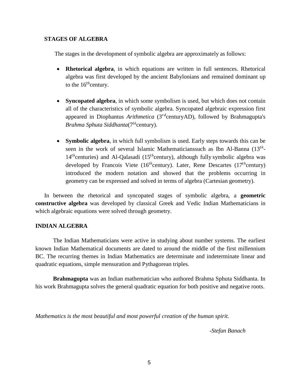## **STAGES OF ALGEBRA**

The stages in the development of symbolic algebra are approximately as follows:

- **Rhetorical algebra**, in which equations are written in full sentences. Rhetorical algebra was first developed by the ancient [Babylonians a](https://en.wikipedia.org/wiki/Babylonians)nd remained dominant up to the  $16^{th}$ century.
- **Syncopated algebra**, in which some symbolism is used, but which does not contain all of the characteristics of symbolic algebra. Syncopated algebraic expression first appeared in [Diophantus](https://en.wikipedia.org/wiki/Diophantus) [Arithmetica](https://en.wikipedia.org/wiki/Arithmetica) (3<sup>rd</sup>centuryAD), followed by [Brahmagupta'](https://en.wikipedia.org/wiki/Brahmagupta)[s](https://en.wikipedia.org/wiki/Brahma_Sphuta_Siddhanta) *[Brahma Sphuta](https://en.wikipedia.org/wiki/Brahma_Sphuta_Siddhanta) Siddhanta*(7 ℎ century).
- **Symbolic algebra**, in which full symbolism is used. Early steps towards this can be seen in the work of several [Islamic Mathematicianss](https://en.wikipedia.org/wiki/Islamic_mathematics)uch as [Ibn Al-Banna](https://en.wikipedia.org/wiki/Ibn_al-Banna_al-Marrakushi)  $(13^{th}$ - $14<sup>th</sup>$ centuries) and [Al-Qalasadi \(](https://en.wikipedia.org/wiki/Ab%C5%AB_al-Hasan_ibn_Al%C4%AB_al-Qalas%C4%81d%C4%AB)15<sup>th</sup>century), although fully symbolic algebra was developed by [Francois Viete](https://en.wikipedia.org/wiki/Fran%C3%A7ois_Vi%C3%A8te) (16<sup>th</sup>century). Later, [Rene Descartes](https://en.wikipedia.org/wiki/Ren%C3%A9_Descartes) (17<sup>th</sup>century) introduced the modern notation and showed that the problems occurring in geometry can be expressed and solved in terms of algebra (Cartesian [geometry\)](https://en.wikipedia.org/wiki/Cartesian_geometry).

In between the rhetorical and syncopated stages of symbolic algebra, a **geometric constructive algebra** was developed by classical [Greek](https://en.wikipedia.org/wiki/Greek_mathematics) and [Vedic Indian Mathematicians](https://en.wikipedia.org/wiki/Indian_mathematics) in which algebraic equations were solved through geometry.

## **INDIAN ALGEBRA**

The Indian Mathematicians were active in studying about number systems. The earliest known [Indian Mathematical d](https://en.wikipedia.org/wiki/Indian_mathematics)ocuments are dated to around the middle of the first millennium BC. The recurring themes in Indian Mathematics are determinate and indeterminate linear and quadratic equations, simple mensuration and Pythagorean triples.

**Brahmagupta** was an Indian mathematician who authored Brahma Sphuta Siddhanta. In his work Brahmagupta solves the general quadratic equation for both positive and negative roots.

*Mathematics is the most beautiful and most powerful creation of the human spirit.*

*-Stefan Banach*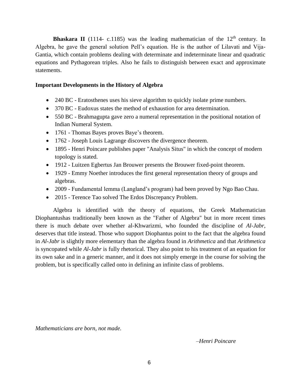**Bhaskara II** (1114- c.1185) was the leading mathematician of the  $12<sup>th</sup>$  century. In Algebra, he gave the general solution Pell's equation. He is the author of Lilavati and Vija-Gantia, which contain problems dealing with determinate and indeterminate linear and quadratic equations and Pythagorean triples. Also he fails to distinguish between exact and approximate statements.

## **Important Developments in the History of Algebra**

- 240 BC [Eratosthenes u](https://en.wikipedia.org/wiki/Eratosthenes)ses [his sieve algorithm t](https://en.wikipedia.org/wiki/Sieve_of_Eratosthenes)o quickly isolate prime numbers.
- 370 BC [Eudoxus s](https://en.wikipedia.org/wiki/Eudoxus_of_Cnidus)tates the method of exhaustion for area determination.
- 550 BC Brahmagupta gave zero a numeral representation in the [positional notation o](https://en.wikipedia.org/wiki/Positional_notation)[f](https://en.wikipedia.org/wiki/Indian_numerals) [Indian Numeral](https://en.wikipedia.org/wiki/Indian_numerals) System.
- 1761 [Thomas Bayes p](https://en.wikipedia.org/wiki/Thomas_Bayes)roves Baye's [theorem.](https://en.wikipedia.org/wiki/Bayes%27_theorem)
- 1762 [Joseph Louis Lagrange d](https://en.wikipedia.org/wiki/Joseph_Louis_Lagrange)iscovers the [divergence theorem.](https://en.wikipedia.org/wiki/Divergence_theorem)
- 1895 Henri Poincare publishes paper ["Analysis Situs"](https://en.wikipedia.org/wiki/Analysis_Situs_(paper)) in which the concept of modern topology is stated.
- 1912 [Luitzen Egbertus Jan Brouwer p](https://en.wikipedia.org/wiki/Luitzen_Egbertus_Jan_Brouwer)resents the [Brouwer fixed-point](https://en.wikipedia.org/wiki/Brouwer_fixed-point_theorem) theorem.
- 1929 Emmy Noether introduces the first general representation theory of groups and algebras.
- 2009 [Fundamental lemma \(Langland's program\)](https://en.wikipedia.org/wiki/Fundamental_lemma_(Langlands_program)) had been proved by [Ngo Bao](https://en.wikipedia.org/wiki/Ng%C3%B4_B%E1%BA%A3o_Ch%C3%A2u) Chau.
- 2015 Terence Tao solved The Erdos Discrepancy Problem.

Algebra is identified with the [theory of equations,](https://en.wikipedia.org/wiki/Theory_of_equations) the Greek Mathematician Diophantushas traditionally been known as the "Father of Algebra" but in more recent times there is much debate over whether al-Khwarizmi, who founded the discipline of *Al-Jabr*, deserves that title instead. Those who support Diophantus point to the fact that the algebra found in *Al-Jabr* is slightly more elementary than the algebra found in *Arithmetica* and that *Arithmetica*  is syncopated while *Al-Jabr* is fully rhetorical. They also point to his treatment of an equation for its own sake and in a generic manner, and it does not simply emerge in the course for solving the problem, but is specifically called onto in defining an infinite class of problems.

*Mathematicians are born, not made.*

*–Henri Poincare*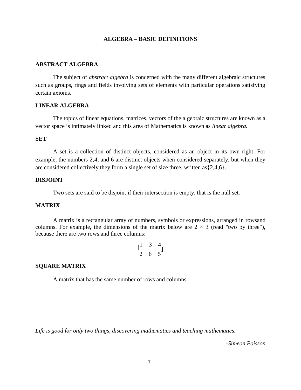## **ALGEBRA – BASIC DEFINITIONS**

## **ABSTRACT ALGEBRA**

The subject of *abstract algebra* is concerned with the many different algebraic structures such as groups, rings and fields involving sets of elements with particular operations satisfying certain axioms.

## **LINEAR ALGEBRA**

The topics of linear equations, matrices, vectors of the algebraic structures are known as a vector space is intimately linked and this area of Mathematics is known as *linear algebra.*

## **SET**

A set is a collection of distinct objects, considered as an [object](https://en.wikipedia.org/wiki/Mathematical_object) in its own right. For example, the numbers 2,4, and 6 are distinct objects when considered separately, but when they are considered collectively they form a single set of size three, written as  $\{2,4,6\}$ .

## **DISJOINT**

Two sets are said to be disjoint if their intersection is empty, that is the null set.

## **MATRIX**

A matrix is a [rectangular](https://en.wikipedia.org/wiki/Rectangle) [array o](https://en.wiktionary.org/wiki/array)f [numbers,](https://en.wikipedia.org/wiki/Number) [symbols o](https://en.wikipedia.org/wiki/Symbol_(formal))r [expressions,](https://en.wikipedia.org/wiki/Expression_(mathematics)) arranged in [rowsa](https://en.wiktionary.org/wiki/row)nd [columns.](https://en.wiktionary.org/wiki/column) For example, the dimensions of the matrix below are  $2 \times 3$  (read "two by three"), because there are two rows and three columns:

$$
\begin{bmatrix} 1 & 3 & 4 \\ 2 & 6 & 5 \end{bmatrix}
$$

#### **SQUARE MATRIX**

A matrix that has the same number of rows and columns.

*Life is good for only two things, discovering mathematics and teaching mathematics.*

*-Simeon Poisson*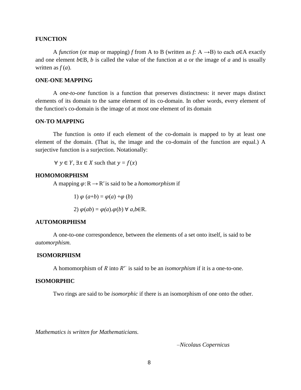## **FUNCTION**

A *function* (or map or mapping) *f* from A to B (written as *f*: A  $\rightarrow$ B) to each  $a \in A$  exactly and one element *b*∈B, *b* is called the value of the function at *a* or the image of *a* and is usually written as  $f(a)$ .

#### **ONE-ONE MAPPING**

A *one-to-one* function is a [function](https://en.wikipedia.org/wiki/Function_(mathematics)) that preserves [distinctness:](https://en.wikipedia.org/wiki/Distinct_(mathematics)) it never maps distinct elements of its [domain t](https://en.wikipedia.org/wiki/Domain_of_a_function)o the same element of its [co-domain.](https://en.wikipedia.org/wiki/Codomain) In other words, every element of the function's co-domain is the [image o](https://en.wikipedia.org/wiki/Image_(mathematics))f at most one element of its domain

#### **ON-TO MAPPING**

The function is *onto* if each element of the co-domain is mapped to by at least one element of the domain. (That is, the image and the co-domain of the function are equal.) A surjective function is a surjection. Notationally:

 $\forall y \in Y$ ,  $\exists x \in X$  such that  $y = f(x)$ 

#### **HOMOMORPHISM**

A mapping  $\varphi: R \to R'$  is said to be a *homomorphism* if

1)  $\varphi$   $(a+b) = \varphi(a) + \varphi(b)$ 2) (*ab*) = *(a*).(*b*) ∀ *a,b*∈R.

2) 
$$
\varphi(ab) = \varphi(a).\varphi(b) \forall a,b \in \mathbb{R}
$$

## **AUTOMORPHISM**

A one-to-one correspondence, between the elements of a set onto itself, is said to be *automorphism.*

#### **ISOMORPHISM**

A homomorphism of R into R' is said to be an *isomorphism* if it is a one-to-one.

#### **ISOMORPHIC**

Two rings are said to be *isomorphic* if there is an isomorphism of one onto the other.

*Mathematics is written for Mathematicians.*

*–Nicolaus Copernicus*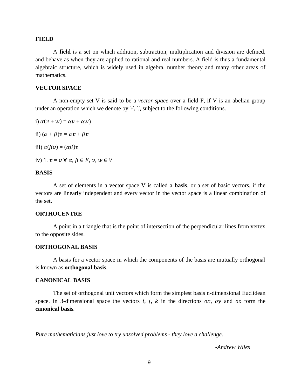#### **FIELD**

A **field** is a [set o](https://en.wikipedia.org/wiki/Set_(mathematics))n which [addition,](https://en.wikipedia.org/wiki/Addition) [subtraction,](https://en.wikipedia.org/wiki/Subtraction) [multiplication a](https://en.wikipedia.org/wiki/Multiplication)nd [division a](https://en.wikipedia.org/wiki/Division_(mathematics))re defined, and behave as when they are applied to [rational a](https://en.wikipedia.org/wiki/Rational_number)nd [real numbers. A](https://en.wikipedia.org/wiki/Real_number) field is thus a fundamental [algebraic structure,](https://en.wikipedia.org/wiki/Algebraic_structure) which is widely used in [algebra,](https://en.wikipedia.org/wiki/Algebra) [number theory](https://en.wikipedia.org/wiki/Number_theory) and many other areas of mathematics.

## **VECTOR SPACE**

A non-empty set V is said to be a *vector space* over a field F, if V is an abelian group under an operation which we denote by  $\forall$ ,  $\forall$ , subject to the following conditions.

i) 
$$
\alpha(v + w) = \alpha v + \alpha w
$$

ii)  $(\alpha + \beta)v = \alpha v + \beta v$ 

iii)  $\alpha(\beta v) = (\alpha \beta)v$ 

iv) 1.  $v = v \forall \alpha, \beta \in F$ ,  $v, w \in V$ 

## **BASIS**

A set of elements in a vector space V is called a **basis**, or a set of basic vectors, if the vectors are linearly independent and every vector in the vector space is a linear combination of the set.

## **ORTHOCENTRE**

A point in a triangle that is the point of intersection of the perpendicular lines from vertex to the opposite sides.

## **ORTHOGONAL BASIS**

A basis for a vector space in which the components of the basis are mutually orthogonal is known as **orthogonal basis***.*

#### **CANONICAL BASIS**

The set of orthogonal unit vectors which form the simplest basis n-dimensional Euclidean space. In 3-dimensional space the vectors  $i$ ,  $j$ ,  $k$  in the directions  $\alpha x$ ,  $\alpha y$  and  $\alpha z$  form the **canonical basis***.*

*Pure mathematicians just love to try unsolved problems - they love a challenge.*

*-Andrew Wiles*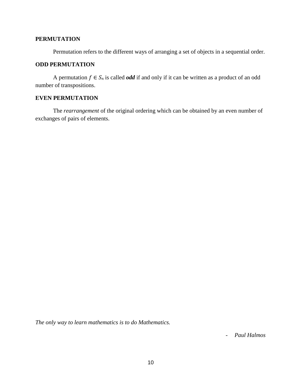## **PERMUTATION**

Permutation refers to the different ways of arranging a set of objects in a sequential order.

## **ODD PERMUTATION**

A permutation  $f \in S_n$  is called *odd* if and only if it can be written as a product of an odd number of transpositions.

## **EVEN PERMUTATION**

The *rearrangement* of the original ordering which can be obtained by an even number of exchanges of pairs of elements.

*The only way to learn mathematics is to do Mathematics.*

- *Paul Halmos*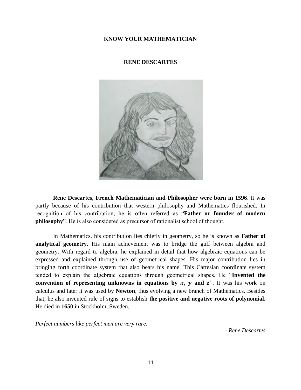## **KNOW YOUR MATHEMATICIAN**

## **RENE DESCARTES**



**Rene Descartes, French Mathematician and Philosopher were born in 1596**. It was partly because of his contribution that western philosophy and Mathematics flourished. In recognition of his contribution, he is often referred as "**Father or founder of modern philosophy**". He is also considered as precursor of rationalist school of thought.

In Mathematics, his contribution lies chiefly in geometry, so he is known as **Father of analytical geometry**. His main achievement was to bridge the gulf between algebra and geometry. With regard to algebra, he explained in detail that how algebraic equations can be expressed and explained through use of geometrical shapes. His major contribution lies in bringing forth coordinate system that also bears his name. This Cartesian coordinate system tended to explain the algebraic equations through geometrical shapes. He "**Invented the convention of representing unknowns in equations by**  $x$ **,**  $y$  **and**  $z$ **".** It was his work on calculus and later it was used by **[Newton](http://www.famous-mathematicians.com/isaac-newton/)**, thus evolving a new branch of Mathematics. Besides that, he also invented rule of signs to establish **the positive and negative roots of polynomial.**  He died in **1650** in Stockholm, Sweden.

*Perfect numbers like perfect men are very rare.*

*- Rene Descartes*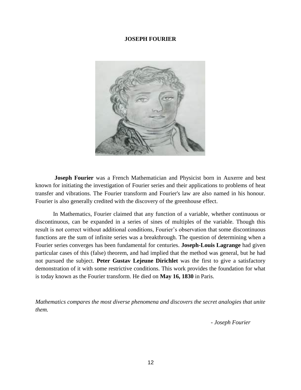#### **JOSEPH FOURIER**



**Joseph Fourier** was a French Mathematician and Physicist born in Auxerre and best known for initiating the investigation of Fourier series and their applications to problems of heat transfer and vibrations. The Fourier transform and Fourier's law are also named in his honour. Fourier is also generally credited with the discovery of the greenhouse effect.

In Mathematics, Fourier claimed that any function of a variable, whether continuous or discontinuous, can be expanded in a series of sines of multiples of the variable. Though this result is not correct without additional conditions, Fourier's observation that some discontinuous functions are the sum of infinite series was a breakthrough. The question of determining when a Fourier series converges has been fundamental for centuries. **Joseph-Louis Lagrange** had given particular cases of this (false) theorem, and had implied that the method was general, but he had not pursued the subject. **Peter Gustav Lejeune Dirichlet** was the first to give a satisfactory demonstration of it with some restrictive conditions. This work provides the foundation for what is today known as the Fourier transform. He died on **May 16, 1830** in Paris.

*Mathematics compares the most diverse phenomena and discovers the secret analogies that unite them.*

*- Joseph Fourier*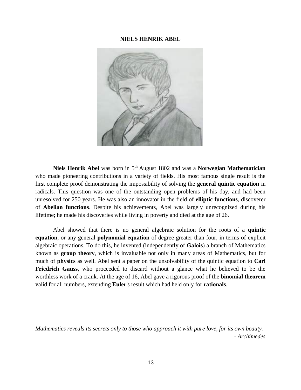#### **NIELS HENRIK ABEL**



**Niels Henrik Abel** was born in 5<sup>th</sup> August 1802 and was a **Norwegian Mathematician** who made pioneering contributions in a variety of fields. His most famous single result is the first complete proof demonstrating the impossibility of solving the **general quintic equation** in radicals. This question was one of the outstanding open problems of his day, and had been unresolved for 250 years. He was also an innovator in the field of **elliptic functions**, discoverer of **Abelian functions**. Despite his achievements, Abel was largely unrecognized during his lifetime; he made his discoveries while living in poverty and died at the age of 26.

Abel showed that there is no general algebraic solution for the roots of a **quintic equation**, or any general **polynomial equation** of degree greater than four, in terms of explicit algebraic operations. To do this, he invented (independently of **Galois**) a branch of Mathematics known as **group theory**, which is invaluable not only in many areas of Mathematics, but for much of **physics** as well. Abel sent a paper on the unsolvability of the quintic equation to **Carl Friedrich Gauss**, who proceeded to discard without a glance what he believed to be the worthless work of a crank. At the age of 16, Abel gave a rigorous proof of the **binomial theorem**  valid for all numbers, extending **Euler**'s result which had held only for **rationals**.

*Mathematics reveals its secrets only to those who approach it with pure love, for its own beauty.* - *Archimedes*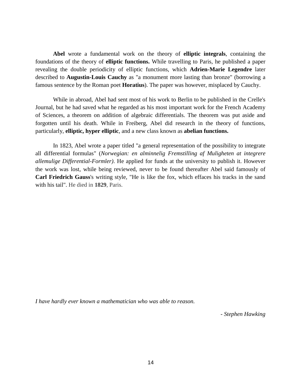**Abel** wrote a fundamental work on the theory of **elliptic integrals**, containing the foundations of the theory of **elliptic functions.** While travelling to Paris, he published a paper revealing the double periodicity of elliptic functions, which **Adrien-Marie Legendre** later described to **Augustin-Louis Cauchy** as "a monument more lasting than bronze" (borrowing a famous sentence by the Roman poet **Horatius**). The paper was however, misplaced by Cauchy.

While in abroad, Abel had sent most of his work to Berlin to be published in the Crelle's Journal, but he had saved what he regarded as his most important work for the French Academy of Sciences, a theorem on addition of algebraic differentials. The theorem was put aside and forgotten until his death. While in Freiberg, Abel did research in the theory of functions, particularly, **elliptic, hyper elliptic**, and a new class known as **abelian functions.**

In 1823, Abel wrote a paper titled "a general representation of the possibility to integrate all differential formulas" (*Norwegian: en alminnelig Fremstilling af Muligheten at integrere allemulige Differential-Formler)*. He applied for funds at the university to publish it. However the work was lost, while being reviewed, never to be found thereafter Abel said famously of **Carl Friedrich Gauss**'s writing style, "He is like the fox, which effaces his tracks in the sand with his tail". He died in **1829**, Paris.

*I have hardly ever known a mathematician who was able to reason.*

*- Stephen Hawking*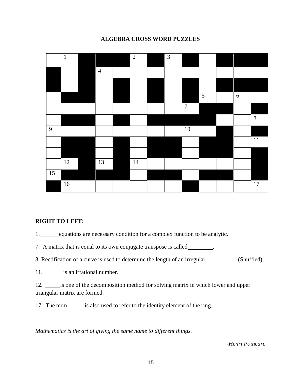# 1 2 3 4 5 6 7 8 9 | | | | | | | | | | 10 11 12 13 14 15 16 17

## **ALGEBRA CROSS WORD PUZZLES**

## **RIGHT TO LEFT:**

1. equations are necessary condition for a complex function to be analytic.

7. A matrix that is equal to its own conjugate transpose is called .

8. Rectification of a curve is used to determine the length of an irregular (Shuffled).

11. is an irrational number.

12. is one of the decomposition method for solving matrix in which lower and upper triangular matrix are formed.

17. The term is also used to refer to the identity element of the ring.

*Mathematics is the art of giving the same name to different things.*

*-Henri Poincare*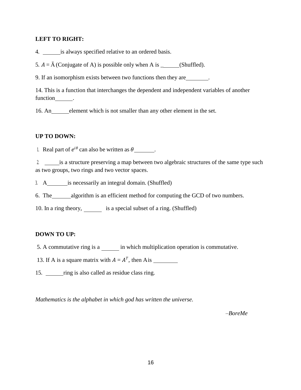## **LEFT TO RIGHT:**

4. is always specified relative to an ordered basis.

5.  $A = \overline{A}$  (Conjugate of A) is possible only when A is \_\_\_\_\_\_(Shuffled).

9. If an isomorphism exists between two functions then they are .

14. This is a function that interchanges the dependent and independent variables of another function

16. An element which is not smaller than any other element in the set.

## **UP TO DOWN:**

1. Real part of  $e^{i\theta}$  can also be written as  $\theta$  \_\_\_\_\_\_\_.

2. is a structure preserving a map between two algebraic structures of the same type such as two groups, two rings and two vector spaces.

3. A is necessarily an integral domain. (Shuffled)

6. The algorithm is an efficient method for computing the GCD of two numbers.

10. In a ring theory, is a special subset of a ring. (Shuffled)

## **DOWN TO UP:**

5. A commutative ring is a in which multiplication operation is commutative.

13. If A is a square matrix with  $A = A<sup>T</sup>$ , then A is

15. ring is also called as residue class ring.

*Mathematics is the alphabet in which god has written the universe.*

*–BoreMe*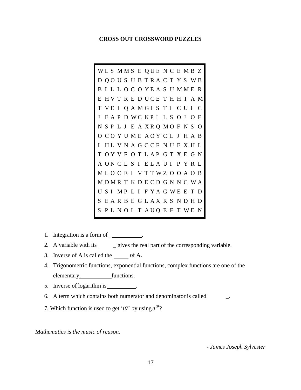#### **CROSS OUT CROSSWORD PUZZLES**

W L S M M S E Q U E N C E M B Z D Q O U S U B T R A C T Y S W B B I L L O C O Y E A S U M M E R E HVTREDUCETHHTAM T VEI Q A M GI S T I C U I C J E A P D WC K P I L S O J O F N S P L J E A X R Q M O F N S O O C O Y U M E A O Y C L J H A B I HL V N A G C C F N U E X H L T O Y V F O T L A P G T X E G N A O N C L S I E L A U I P Y R L M L O C E I V T T W Z O O A O B M D M R T K D E C D G N N C W A U S I MP L I F Y A G WE E T D S E A R B E G L A X R S N D H D S P L N O I T A U Q E F T W E N

- 1. Integration is a form of  $\_\_\_\_\_\_\$ .
- 2. A variable with its \_\_\_\_\_\_ gives the real part of the corresponding variable.
- 3. Inverse of A is called the  $\qquad$  of A.
- 4. Trigonometric functions, exponential functions, complex functions are one of the elementary functions.
- 5. Inverse of logarithm is .
- 6. A term which contains both numerator and denominator is called \_.
- 7. Which function is used to get ' $i\theta$ ' by using  $e^{i\theta}$ ?

*Mathematics is the music of reason.*

*- James Joseph Sylvester*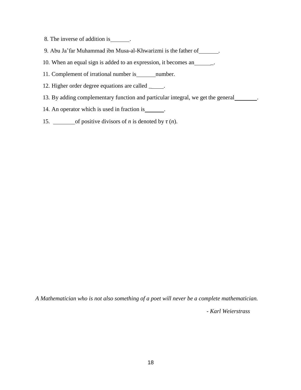- 8. The inverse of addition is \_\_\_\_\_\_\_.
- 9. Abu Ja'far Muhammad ibn Musa-al-Khwarizmi is the father of \_\_\_\_\_\_\_.
- 10. When an equal sign is added to an expression, it becomes an \_\_\_\_\_\_.
- 11. Complement of irrational number is \_\_\_\_\_\_\_\_ number.
- 12. Higher order degree equations are called \_\_\_\_\_.
- 13. By adding complementary function and particular integral, we get the general .
- 14. An operator which is used in fraction is \_\_\_\_\_\_.
- 15. <u>of positive divisors of *n*</u> is denoted by  $\tau(n)$ .

*A Mathematician who is not also something of a poet will never be a complete mathematician.*

*- Karl Weierstrass*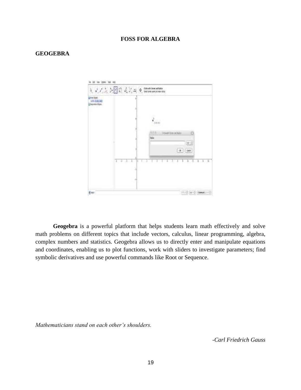## **FOSS FOR ALGEBRA**

#### **GEOGEBRA**



**Geogebra** is a powerful platform that helps students learn math effectively and solve math problems on different topics that include vectors, calculus, linear programming, algebra, complex numbers and statistics. Geogebra allows us to directly enter and manipulate equations and coordinates, enabling us to plot functions, work with sliders to investigate parameters; find symbolic derivatives and use powerful commands like Root or Sequence.

*Mathematicians stand on each other's shoulders.*

*-Carl Friedrich Gauss*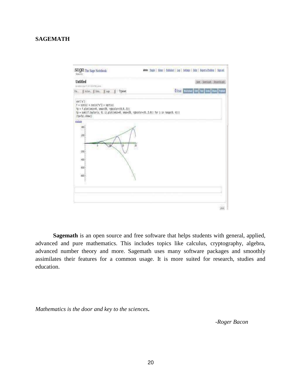## **SAGEMATH**



**Sagemath** is an open source and free software that helps students with general, applied, advanced and pure mathematics. This includes topics like calculus, cryptography, algebra, advanced number theory and more. Sagemath uses many software packages and smoothly assimilates their features for a common usage. It is more suited for research, studies and education.

*Mathematics is the door and key to the sciences***.**

*-Roger Bacon*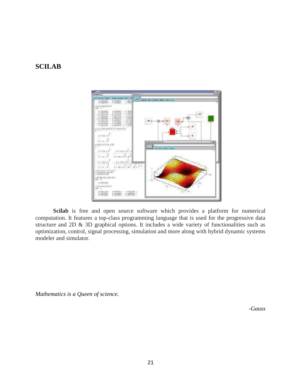# **SCILAB**



**Scilab** is free and open source software which provides a platform for numerical computation. It features a top-class programming language that is used for the progressive data structure and 2D & 3D graphical options. It includes a wide variety of functionalities such as optimization, control, signal processing, simulation and more along with hybrid dynamic systems modeler and simulator.

*Mathematics is a Queen of science.*

*-Gauss*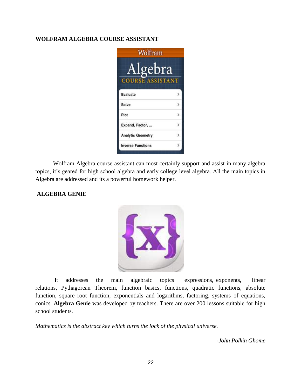## **WOLFRAM ALGEBRA COURSE ASSISTANT**



Wolfram Algebra course assistant can most certainly support and assist in many algebra topics, it's geared for high school algebra and early college level algebra. All the main topics in Algebra are addressed and its a powerful homework helper.

## **ALGEBRA GENIE**



It addresses the main algebraic topics expressions, exponents, linear relations, [Pythagorean Theorem,](https://www.thoughtco.com/pythagorean-theorem-visual-2312560) function basics, functions, [quadratic functions,](https://www.thoughtco.com/what-are-quadratic-functions-2311978) absolute function, square root function, exponentials and logarithms, factoring, systems of equations, conics. **Algebra Genie** was developed by teachers. There are over 200 lessons suitable for high school students.

*Mathematics is the abstract key which turns the lock of the physical universe.*

*-John Polkin Ghome*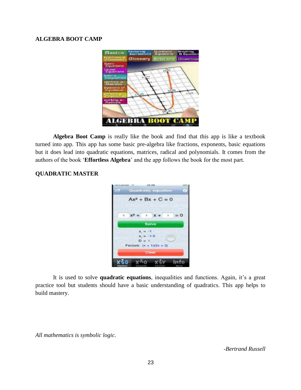## **ALGEBRA BOOT CAMP**



**Algebra Boot Camp** is really like the book and find that this app is like a textbook turned into app. This app has some basic pre-algebra like fractions, exponents, basic equations but it does lead into quadratic equations, matrices, radical and polynomials. It comes from the authors of the book '**Effortless Algebra**' and the app follows the book for the most part.

## **QUADRATIC MASTER**



It is used to solve **quadratic equations**, inequalities and functions. Again, it's a great practice tool but students should have a basic understanding of quadratics. This app helps to build mastery.

*All mathematics is symbolic logic.*

*-Bertrand Russell*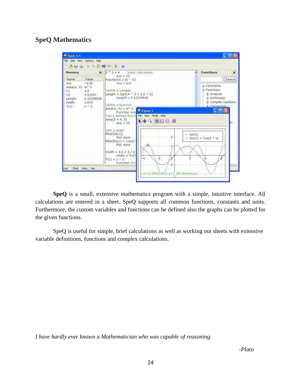# **SpeQ Mathematics**



**SpeQ** is a small, extensive mathematics program with a simple, intuitive interface. All calculations are entered in a sheet. SpeQ supports all common functions, constants and units. Furthermore, the custom variables and functions can be defined also the graphs can be plotted for the given functions.

SpeQ is useful for simple, brief calculations as well as working out sheets with extensive variable definitions, functions and complex calculations.

*I have hardly ever known a Mathematician who was capable of reasoning.*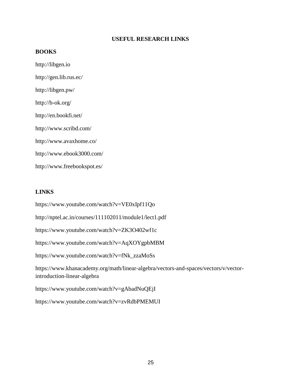## **USEFUL RESEARCH LINKS**

## **BOOKS**

[http://libgen.io](http://libgen.io/) <http://gen.lib.rus.ec/> <http://libgen.pw/> <http://b-ok.org/> <http://en.bookfi.net/> <http://www.scribd.com/> <http://www.avaxhome.co/> <http://www.ebook3000.com/> <http://www.freebookspot.es/>

## **LINKS**

<https://www.youtube.com/watch?v=VE0xIpf11Qo>

<http://nptel.ac.in/courses/111102011/module1/lect1.pdf>

<https://www.youtube.com/watch?v=ZK3O402wf1c>

<https://www.youtube.com/watch?v=AqXOYgpbMBM>

[https://www.youtube.com/watch?v=fNk\\_zzaMoSs](https://www.youtube.com/watch?v=fNk_zzaMoSs)

[https://www.khanacademy.org/math/linear-algebra/vectors-and-spaces/vectors/v/vector](https://www.khanacademy.org/math/linear-algebra/vectors-and-spaces/vectors/v/vector-introduction-linear-algebra)[introduction-linear-algebra](https://www.khanacademy.org/math/linear-algebra/vectors-and-spaces/vectors/v/vector-introduction-linear-algebra)

<https://www.youtube.com/watch?v=gAbadNuQEjI>

<https://www.youtube.com/watch?v=zvRdbPMEMUI>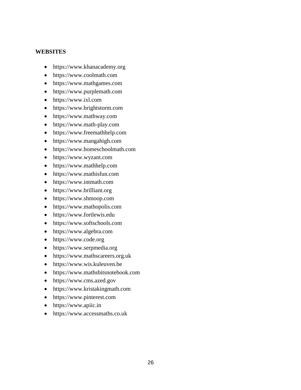## **WEBSITES**

- ht[tps://www.khanacademy.org](http://www.khanacademy.org/)
- ht[tps://www.coolmath.com](http://www.coolmath.com/)
- ht[tps://www.mathgames.com](http://www.mathgames.com/)
- ht[tps://www.purplemath.com](http://www.purplemath.com/)
- ht[tps://www.ixl.com](http://www.ixl.com/)
- ht[tps://www.brightstorm.com](http://www.brightstorm.com/)
- ht[tps://www.mathway.com](http://www.mathway.com/)
- ht[tps://www.math-play.com](http://www.math-play.com/)
- ht[tps://www.freemathhelp.com](http://www.freemathhelp.com/)
- ht[tps://www.mangahigh.com](http://www.mangahigh.com/)
- ht[tps://www.homeschoolmath.com](http://www.homeschoolmath.com/)
- ht[tps://www.wyzant.com](http://www.wyzant.com/)
- ht[tps://www.mathhelp.com](http://www.mathhelp.com/)
- ht[tps://www.mathisfun.com](http://www.mathisfun.com/)
- ht[tps://www.intmath.com](http://www.intmath.com/)
- ht[tps://www.brilliant.org](http://www.brilliant.org/)
- ht[tps://www.shmoop.com](http://www.shmoop.com/)
- [https://www.mathopolis.com](https://www.mathopolis.com/)
- ht[tps://www.fortlewis.edu](http://www.fortlewis.edu/)
- ht[tps://www.softschools.com](http://www.softschools.com/)
- ht[tps://www.algebra.com](http://www.algebra.com/)
- ht[tps://www.code.org](http://www.code.org/)
- ht[tps://www.serpmedia.org](http://www.serpmedia.org/)
- ht[tps://www.mathscareers.org.uk](http://www.mathscareers.org.uk/)
- ht[tps://www.wis.kuleuven.be](http://www.wis.kuleuven.be/)
- ht[tps://www.mathsbitsnotebook.com](http://www.mathsbitsnotebook.com/)
- ht[tps://www.cms.azed.gov](http://www.cms.azed.gov/)
- ht[tps://www.kristakingmath.com](http://www.kristakingmath.com/)
- ht[tps://www.pinterest.com](http://www.pinterest.com/)
- ht[tps://www.apiic.in](http://www.apiic.in/)
- ht[tps://www.accessmaths.co.uk](http://www.accessmaths.co.uk/)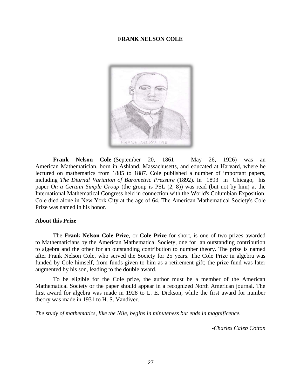## **FRANK NELSON COLE**



**Frank Nelson Cole** (September 20, 1861 – May 26, 1926) was an American [Mathematician,](https://en.wikipedia.org/wiki/Mathematician) born in [Ashland,](https://en.wikipedia.org/wiki/Ashland%2C_Massachusetts) [Massachusetts,](https://en.wikipedia.org/wiki/Massachusetts) and educated at [Harvard,](https://en.wikipedia.org/wiki/Harvard_University) where he lectured on [mathematics f](https://en.wikipedia.org/wiki/Mathematics)rom 1885 to 1887. Cole published a number of important papers, including *The Diurnal Variation of Barometric Pressure* (1892). In 1893 in Chicago, his paper *On a Certain Simple Group* (the group is [PSL \(2, 8\)\)](https://en.wikipedia.org/wiki/Projective_linear_group) was read (but not by him) at the International Mathematical Congress held in connection with the [World's Columbian Exposition.](https://en.wikipedia.org/wiki/World%27s_Columbian_Exposition) Cole died alone in [New York City a](https://en.wikipedia.org/wiki/New_York_City)t the age of 64. The American Mathematical Society's [Cole](https://en.wikipedia.org/wiki/Cole_Prize) [Prize w](https://en.wikipedia.org/wiki/Cole_Prize)as named in his honor.

## **About this Prize**

The **Frank Nelson Cole Prize**, or **Cole Prize** for short, is one of two [prizes a](https://en.wikipedia.org/wiki/Prize)warded to [Mathematicians b](https://en.wikipedia.org/wiki/Mathematician)y the [American Mathematical Society,](https://en.wikipedia.org/wiki/American_Mathematical_Society) one for an outstanding contribution to [algebra](https://en.wikipedia.org/wiki/Algebra) and the other for an outstanding contribution to [number theory. T](https://en.wikipedia.org/wiki/Number_theory)he prize is named after [Frank Nelson Cole,](https://en.wikipedia.org/wiki/Frank_Nelson_Cole) who served the Society for 25 years. The Cole Prize in algebra was funded by Cole himself, from funds given to him as a retirement gift; the prize fund was later augmented by his son, leading to the double award.

To be eligible for the Cole prize, the author must be a member of the American Mathematical Society or the paper should appear in a recognized North American journal. The first award for algebra was made in 1928 to [L. E. Dickson,](https://en.wikipedia.org/wiki/L._E._Dickson) while the first award for number theory was made in 1931 to [H. S. Vandiver.](https://en.wikipedia.org/wiki/H._S._Vandiver)

*The study of mathematics, like the Nile, begins in minuteness but ends in magnificence.*

*-Charles Caleb Cotton*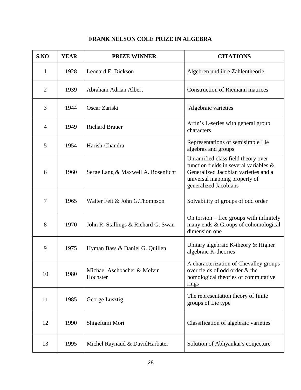| S.NO           | <b>YEAR</b> | <b>PRIZE WINNER</b>                     | <b>CITATIONS</b>                                                                                                                                                                  |
|----------------|-------------|-----------------------------------------|-----------------------------------------------------------------------------------------------------------------------------------------------------------------------------------|
| $\mathbf{1}$   | 1928        | Leonard E. Dickson                      | Algebren und ihre Zahlentheorie                                                                                                                                                   |
| $\overline{2}$ | 1939        | Abraham Adrian Albert                   | <b>Construction of Riemann matrices</b>                                                                                                                                           |
| 3              | 1944        | Oscar Zariski                           | Algebraic varieties                                                                                                                                                               |
| $\overline{4}$ | 1949        | <b>Richard Brauer</b>                   | Artin's L-series with general group<br>characters                                                                                                                                 |
| 5              | 1954        | Harish-Chandra                          | Representations of semisimple Lie<br>algebras and groups                                                                                                                          |
| 6              | 1960        | Serge Lang & Maxwell A. Rosenlicht      | Unramified class field theory over<br>function fields in several variables $\&$<br>Generalized Jacobian varieties and a<br>universal mapping property of<br>generalized Jacobians |
| 7              | 1965        | Walter Feit & John G. Thompson          | Solvability of groups of odd order                                                                                                                                                |
| 8              | 1970        | John R. Stallings & Richard G. Swan     | On torsion $-$ free groups with infinitely<br>many ends & Groups of cohomological<br>dimension one                                                                                |
| 9              | 1975        | Hyman Bass & Daniel G. Quillen          | Unitary algebraic K-theory & Higher<br>algebraic K-theories                                                                                                                       |
| 10             | 1980        | Michael Aschbacher & Melvin<br>Hochster | A characterization of Chevalley groups<br>over fields of odd order & the<br>homological theories of commutative<br>rings                                                          |
| 11             | 1985        | George Lusztig                          | The representation theory of finite<br>groups of Lie type                                                                                                                         |
| 12             | 1990        | Shigefumi Mori                          | Classification of algebraic varieties                                                                                                                                             |
| 13             | 1995        | Michel Raynaud & DavidHarbater          | Solution of Abhyankar's conjecture                                                                                                                                                |

# **FRANK NELSON COLE PRIZE IN ALGEBRA**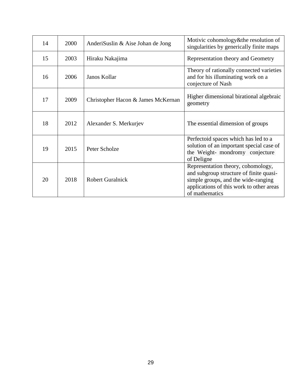| 14 | 2000 | AnderiSuslin & Aise Johan de Jong  | Motivic cohomology&the resolution of<br>singularities by generically finite maps                                                                                                   |
|----|------|------------------------------------|------------------------------------------------------------------------------------------------------------------------------------------------------------------------------------|
| 15 | 2003 | Hiraku Nakajima                    | Representation theory and Geometry                                                                                                                                                 |
| 16 | 2006 | Janos Kollar                       | Theory of rationally connected varieties<br>and for his illuminating work on a<br>conjecture of Nash                                                                               |
| 17 | 2009 | Christopher Hacon & James McKernan | Higher dimensional birational algebraic<br>geometry                                                                                                                                |
| 18 | 2012 | Alexander S. Merkurjev             | The essential dimension of groups                                                                                                                                                  |
| 19 | 2015 | Peter Scholze                      | Perfectoid spaces which has led to a<br>solution of an important special case of<br>the Weight- mondromy conjecture<br>of Deligne                                                  |
| 20 | 2018 | <b>Robert Guralnick</b>            | Representation theory, cohomology,<br>and subgroup structure of finite quasi-<br>simple groups, and the wide-ranging<br>applications of this work to other areas<br>of mathematics |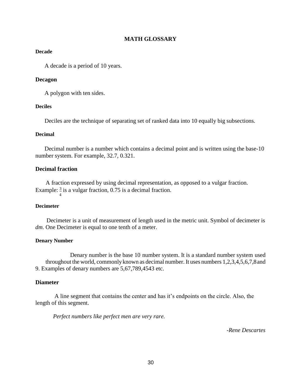## **MATH GLOSSARY**

## **Decade**

A decade is a period of 10 years.

### **Decagon**

A polygon with ten sides.

#### **Deciles**

Deciles are the technique of separating set of ranked data into 10 equally big subsections.

### **Decimal**

Decimal number is a number which contains a decimal point and is written using the base-10 number system. For example, 32.7, 0.321.

## **Decimal fraction**

A fraction expressed by using decimal representation, as opposed to a vulgar fraction. Example:  $\frac{3}{2}$  is a vulgar fraction, 0.75 is a decimal fraction. 4

#### **Decimeter**

Decimeter is a unit of measurement of length used in the metric unit. Symbol of decimeter is *dm*. One Decimeter is equal to one tenth of a meter.

#### **Denary Number**

Denary number is the base 10 number system. It is a standard number system used throughout the world, commonlyknown as decimal number. It uses numbers 1,2,3,4,5,6,7,8and 9. Examples of denary numbers are 5,67,789,4543 etc.

## **Diameter**

A line segment that contains the center and has it's endpoints on the circle. Also, the length of this segment.

*Perfect numbers like perfect men are very rare.*

*-Rene Descartes*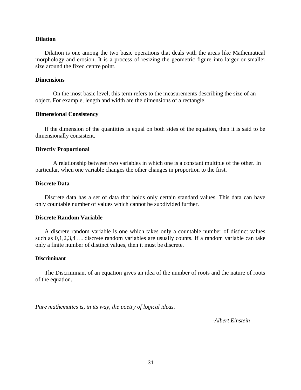#### **Dilation**

Dilation is one among the two basic operations that deals with the areas like Mathematical morphology and erosion. It is a process of resizing the geometric figure into larger or smaller size around the fixed centre point.

#### **Dimensions**

On the most basic level, this term refers to the [measurements d](http://www.mathwords.com/m/measurement.htm)escribing the size of an object. For example, length and width are the dimensions of a [rectangle.](http://www.mathwords.com/r/rectangle.htm)

#### **Dimensional Consistency**

If the dimension of the quantities is equal on both sides of the equation, then it is said to be dimensionally consistent.

#### **Directly Proportional**

A relationship between two [variables i](http://www.mathwords.com/v/variable.htm)n which one is a constant multiple of the other. In particular, when one variable changes the other changes in proportion to the first.

#### **Discrete Data**

Discrete data has a set of data that holds only certain standard values. This data can have only countable number of values which cannot be subdivided further.

## **Discrete Random Variable**

A discrete random variable is one which takes only a countable number of distinct values such as 0,1,2,3,4…. discrete random variables are usually counts. If a random variable can take only a finite number of distinct values, then it must be discrete.

#### **Discriminant**

The Discriminant of an equation gives an idea of the number of roots and the nature of roots of the equation.

*Pure mathematics is, in its way, the poetry of logical ideas.*

*-Albert Einstein*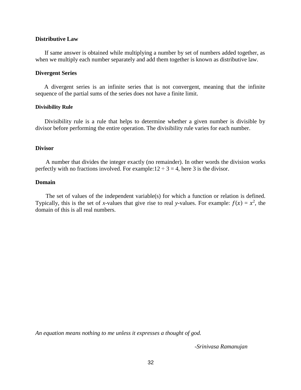#### **Distributive Law**

If same answer is obtained while multiplying a number by set of numbers added together, as when we multiply each number separately and add them together is known as distributive law.

#### **Divergent Series**

A divergent series is an infinite series that is not convergent, meaning that the infinite sequence of the partial sums of the series does not have a finite limit.

#### **Divisibility Rule**

Divisibility rule is a rule that helps to determine whether a given number is divisible by divisor before performing the entire operation. The divisibility rule varies for each number.

#### **Divisor**

A number that divides the integer exactly (no remainder). In other words the division works perfectly with no fractions involved. For example:  $12 \div 3 = 4$ , here 3 is the divisor.

## **Domain**

The [set o](http://www.mathwords.com/s/set.htm)f values of the [independent variable\(s\) f](http://www.mathwords.com/i/independent_variable.htm)or which a [function o](http://www.mathwords.com/f/function.htm)r [relation i](http://www.mathwords.com/r/relation.htm)s defined. Typically, this is the set of *x*-values that give rise to real *y*-values. For example:  $f(x) = x^2$ , the domain of this is all real numbers.

*An equation means nothing to me unless it expresses a thought of god.*

*-Srinivasa Ramanujan*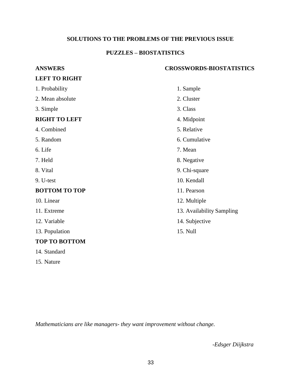# **SOLUTIONS TO THE PROBLEMS OF THE PREVIOUS ISSUE**

# **PUZZLES – BIOSTATISTICS**

| <b>ANSWERS</b>       | <b>CROSSWORDS-BIOSTATISTICS</b> |
|----------------------|---------------------------------|
| <b>LEFT TO RIGHT</b> |                                 |
| 1. Probability       | 1. Sample                       |
| 2. Mean absolute     | 2. Cluster                      |
| 3. Simple            | 3. Class                        |
| <b>RIGHT TO LEFT</b> | 4. Midpoint                     |
| 4. Combined          | 5. Relative                     |
| 5. Random            | 6. Cumulative                   |
| 6. Life              | 7. Mean                         |
| 7. Held              | 8. Negative                     |
| 8. Vital             | 9. Chi-square                   |
| 9. U-test            | 10. Kendall                     |
| <b>BOTTOM TO TOP</b> | 11. Pearson                     |
| 10. Linear           | 12. Multiple                    |
| 11. Extreme          | 13. Availability Sampling       |
| 12. Variable         | 14. Subjective                  |
| 13. Population       | 15. Null                        |
| <b>TOP TO BOTTOM</b> |                                 |

*Mathematicians are like managers- they want improvement without change.*

14. Standard

15. Nature

*-Edsger Diijkstra*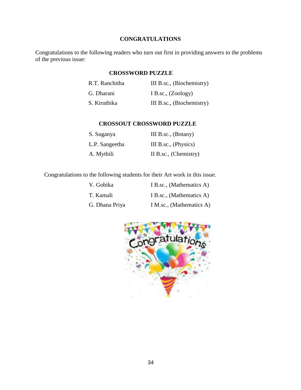## **CONGRATULATIONS**

Congratulations to the following readers who turn out first in providing answers to the problems of the previous issue:

## **CROSSWORD PUZZLE**

| R.T. Ranchitha | III B.sc., (Biochemistry) |
|----------------|---------------------------|
| G. Dharani     | I B.sc., $(Zoology)$      |
| S. Kiruthika   | III B.sc., (Biochemistry) |

## **CROSSOUT CROSSWORD PUZZLE**

| S. Suganya     | III B.sc., (Botany)   |
|----------------|-----------------------|
| L.P. Sangeetha | III B.sc., (Physics)  |
| A. Mythili     | II B.sc., (Chemistry) |

Congratulations to the following students for their Art work in this issue.

| V. Gobika      | I B.sc., (Mathematics A) |
|----------------|--------------------------|
| T. Kamali      | I B.sc., (Mathematics A) |
| G. Dhana Priya | I M.sc., (Mathematics A) |

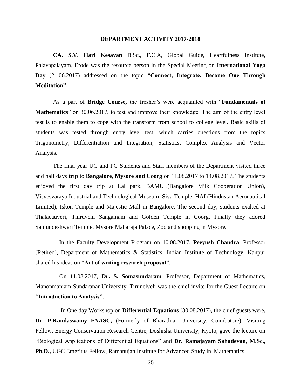#### **DEPARTMENT ACTIVITY 2017-2018**

**CA. S.V. Hari Kesavan** B.Sc., F.C.A, Global Guide, Heartfulness Institute, Palayapalayam, Erode was the resource person in the Special Meeting on **International Yoga Day** (21.06.2017) addressed on the topic **"Connect, Integrate, Become One Through Meditation".**

As a part of **Bridge Course,** the fresher's were acquainted with "**Fundamentals of Mathematics**" on 30.06.2017, to test and improve their knowledge. The aim of the entry level test is to enable them to cope with the transform from school to college level. Basic skills of students was tested through entry level test, which carries questions from the topics Trigonometry, Differentiation and Integration, Statistics, Complex Analysis and Vector Analysis.

The final year UG and PG Students and Staff members of the Department visited three and half days **trip** to **Bangalore, Mysore and Coorg** on 11.08.2017 to 14.08.2017. The students enjoyed the first day trip at Lal park, BAMUL(Bangalore Milk Cooperation Union), Visvesvaraya Industrial and Technological Museum, Siva Temple, HAL(Hindustan Aeronautical Limited), Iskon Temple and Majestic Mall in Bangalore. The second day, students exalted at Thalacauveri, Thiruveni Sangamam and Golden Temple in Coorg. Finally they adored Samundeshwari Temple, Mysore Maharaja Palace, Zoo and shopping in Mysore.

In the Faculty Development Program on 10.08.2017, **Peeyush Chandra**, Professor (Retired), Department of Mathematics & Statistics, Indian Institute of Technology, Kanpur shared his ideas on **"Art of writing research proposal"**.

On 11.08.2017, **Dr. S. Somasundaram**, Professor, Department of Mathematics, Manonmaniam Sundaranar University, Tirunelveli was the chief invite for the Guest Lecture on **"Introduction to Analysis"**.

In One day Workshop on **Differential Equations** (30.08.2017), the chief guests were, **Dr. P.Kandaswamy FNASC,** (Formerly of Bharathiar University, Coimbatore), Visiting Fellow, Energy Conservation Research Centre, Doshisha University, Kyoto, gave the lecture on "Biological Applications of Differential Equations" and **Dr. Ramajayam Sahadevan, M.Sc., Ph.D.,** UGC Emeritus Fellow, Ramanujan Institute for Advanced Study in Mathematics,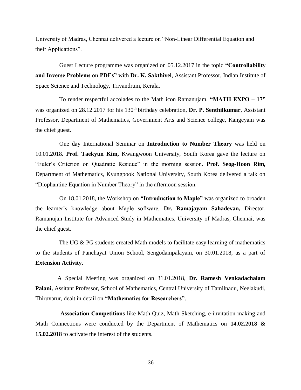University of Madras, Chennai delivered a lecture on "Non-Linear Differential Equation and their Applications".

Guest Lecture programme was organized on 05.12.2017 in the topic **"Controllability and Inverse Problems on PDEs"** with **Dr. K. Sakthivel**, Assistant Professor, Indian Institute of Space Science and Technology, Trivandrum, Kerala.

To render respectful accolades to the Math icon Ramanujam, **"MATH EXPO – 17"**  was organized on 28.12.2017 for his 130<sup>th</sup> birthday celebration, **Dr. P. Senthilkumar**, Assistant Professor, Department of Mathematics, Government Arts and Science college, Kangeyam was the chief guest.

One day International Seminar on **Introduction to Number Theory** was held on 10.01.2018. **Prof. Taekyun Kim,** Kwangwoon University, South Korea gave the lecture on "Euler's Criterion on Quadratic Residue" in the morning session. **Prof. Seog-Hoon Rim,**  Department of Mathematics, Kyungpook National University, South Korea delivered a talk on "Diophantine Equation in Number Theory" in the afternoon session.

On 18.01.2018, the Workshop on **"Introduction to Maple"** was organized to broaden the learner's knowledge about Maple software, **Dr. Ramajayam Sahadevan,** Director, Ramanujan Institute for Advanced Study in Mathematics, University of Madras, Chennai, was the chief guest.

The UG & PG students created Math models to facilitate easy learning of mathematics to the students of Panchayat Union School, Sengodampalayam, on 30.01.2018, as a part of **Extension Activity**.

A Special Meeting was organized on 31.01.2018, **Dr. Ramesh Venkadachalam Palani,** Assitant Professor, School of Mathematics, Central University of Tamilnadu, Neelakudi, Thiruvarur, dealt in detail on **"Mathematics for Researchers"**.

**Association Competitions** like Math Quiz, Math Sketching, e-invitation making and Math Connections were conducted by the Department of Mathematics on **14.02.2018 & 15.02.2018** to activate the interest of the students.

36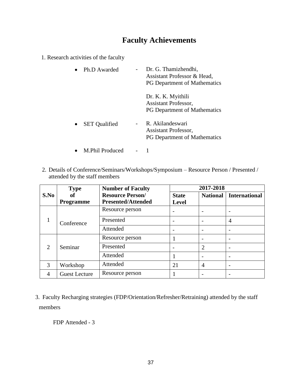# **Faculty Achievements**

1. Research activities of the faculty

| Ph.D Awarded         | Dr. G. Thamizhendhi,<br>Assistant Professor & Head,<br><b>PG Department of Mathematics</b> |
|----------------------|--------------------------------------------------------------------------------------------|
|                      | Dr. K. K. Myithili<br><b>Assistant Professor,</b><br><b>PG Department of Mathematics</b>   |
| <b>SET Qualified</b> | R. Akilandeswari<br>Assistant Professor,<br><b>PG Department of Mathematics</b>            |
| M.Phil Produced      |                                                                                            |

2. Details of Conference/Seminars/Workshops/Symposium – Resource Person / Presented / attended by the staff members

|                             | <b>Type</b>          | <b>Number of Faculty</b>  | 2017-2018                |                |                      |
|-----------------------------|----------------------|---------------------------|--------------------------|----------------|----------------------|
| S.No                        | оf                   | <b>Resource Person/</b>   | <b>State</b>             | National       | <b>International</b> |
|                             | <b>Programme</b>     | <b>Presented/Attended</b> | <b>Level</b>             |                |                      |
|                             |                      | Resource person           |                          |                |                      |
|                             | Conference           | Presented                 | $\qquad \qquad$          |                | 4                    |
|                             |                      | Attended                  | $\overline{\phantom{0}}$ |                |                      |
|                             |                      | Resource person           |                          |                |                      |
| $\mathcal{D}_{\mathcal{L}}$ | Seminar              | Presented                 |                          | $\overline{2}$ |                      |
|                             |                      | Attended                  |                          |                |                      |
| 3                           | Workshop             | Attended                  | 21                       | $\overline{4}$ |                      |
| 4                           | <b>Guest Lecture</b> | Resource person           |                          |                |                      |

3. Faculty Recharging strategies (FDP/Orientation/Refresher/Retraining) attended by the staff members

FDP Attended - 3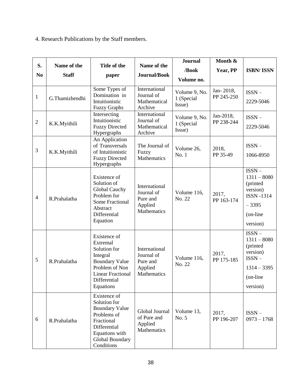# 4. Research Publications by the Staff members.

|                |                |                                                                                                                                                          | Name of the                                                       |                                       | Month &                 |                                                                                                           |
|----------------|----------------|----------------------------------------------------------------------------------------------------------------------------------------------------------|-------------------------------------------------------------------|---------------------------------------|-------------------------|-----------------------------------------------------------------------------------------------------------|
| S.             | Name of the    | Title of the                                                                                                                                             |                                                                   | /Book                                 | Year, PP                | <b>ISBN/ISSN</b>                                                                                          |
| N <sub>0</sub> | <b>Staff</b>   | paper                                                                                                                                                    | Journal/Book                                                      | Volume no.                            |                         |                                                                                                           |
| $\mathbf{1}$   | G.Thamizhendhi | Some Types of<br>Domination in<br>Intuitionistic<br><b>Fuzzy Graphs</b>                                                                                  | International<br>Journal of<br>Mathematical<br>Archive            | Volume 9, No.<br>1 (Special<br>Issue) | Jan-2018,<br>PP 245-250 | $ISSN -$<br>2229-5046                                                                                     |
| $\overline{2}$ | K.K.Myithili   | Intersecting<br>Intuitionistic<br><b>Fuzzy Directed</b><br>Hypergraphs                                                                                   | International<br>Journal of<br>Mathematical<br>Archive            | Volume 9, No.<br>1 (Special<br>Issue) | Jan-2018,<br>PP 238-244 | $ISSN -$<br>2229-5046                                                                                     |
| 3              | K.K.Myithili   | An Application<br>of Transversals<br>of Intuitionistic<br><b>Fuzzy Directed</b><br>Hypergraphs                                                           | The Journal of<br>Fuzzy<br>Mathematics                            | Volume 26,<br>No. 1                   | 2018,<br>PP 35-49       | $ISSN -$<br>1066-8950                                                                                     |
| $\overline{4}$ | R.Prahalatha   | Existence of<br>Solution of<br><b>Global Cauchy</b><br>Problem for<br>Some Fractional<br>Abstract<br>Differential<br>Equation                            | International<br>Journal of<br>Pure and<br>Applied<br>Mathematics | Volume 116,<br>No. 22                 | 2017,<br>PP 163-174     | $ISSN -$<br>$1311 - 8080$<br>(printed<br>version)<br><b>ISSN -1314</b><br>$-3395$<br>(on-line<br>version) |
| 5              | R.Prahalatha   | Existence of<br>Extremal<br>Solution for<br>Integral<br><b>Boundary Value</b><br>Problem of Non<br><b>Linear Fractional</b><br>Differential<br>Equations | International<br>Journal of<br>Pure and<br>Applied<br>Mathematics | Volume 116,<br>No. 22                 | 2017,<br>PP 175-185     | $ISSN -$<br>$1311 - 8080$<br>(printed<br>version)<br>$ISSN -$<br>$1314 - 3395$<br>(on-line)<br>version)   |
| 6              | R.Prahalatha   | Existence of<br>Solution for<br><b>Boundary Value</b><br>Problems of<br>Fractional<br>Differential<br>Equations with<br>Global Boundary<br>Conditions    | Global Journal<br>of Pure and<br>Applied<br>Mathematics           | Volume 13,<br>No. 5                   | 2017,<br>PP 196-207     | $ISSN -$<br>$0973 - 1768$                                                                                 |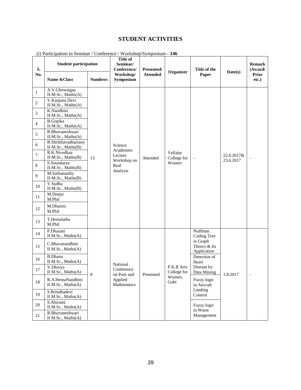# **STUDENT ACTIVITIES**

| S.     | <b>Student participation</b><br>Name & Class<br><b>Numbers</b> |    | $\mu$ and $\mu$ and $\mu$ is community connected by $\mu$<br>Title of<br>Seminar/<br>Conference/ | $\cdots$ ormorrope of impositant<br>Presented/ | Organizer                        | Title of the                            | Date(s)                 | <b>Remark</b><br>(Award/ |
|--------|----------------------------------------------------------------|----|--------------------------------------------------------------------------------------------------|------------------------------------------------|----------------------------------|-----------------------------------------|-------------------------|--------------------------|
| No.    |                                                                |    | Workshop/<br>Symposium                                                                           | <b>Attended</b>                                |                                  | Paper                                   |                         | <b>Prize</b><br>etc.)    |
| 1      | A.V.Ghowsigaa<br>II-M.Sc., Maths(A)<br>V.Kanjana Devi          |    |                                                                                                  |                                                |                                  |                                         |                         |                          |
| 2      | II-M.Sc., Maths(A)                                             |    |                                                                                                  |                                                |                                  |                                         |                         |                          |
| 3      | K.Nandhini<br>$II-M.Sc., Maths(A)$                             |    |                                                                                                  |                                                |                                  |                                         |                         |                          |
| 4      | <b>B.Gopika</b><br>II-M.Sc., Maths(A)                          |    |                                                                                                  |                                                |                                  |                                         |                         |                          |
| 5      | R.Bhuvaneshwari                                                |    |                                                                                                  |                                                |                                  |                                         |                         |                          |
|        | II-M.Sc., Maths(A)<br>R.Shribhavadharrany                      |    |                                                                                                  |                                                |                                  |                                         |                         |                          |
| 6      | II-M.Sc., Maths(B)                                             |    | Science<br>Academies                                                                             | Attended                                       | Vellalar<br>College for<br>Women |                                         | 22.6.2017&<br>23.6.2017 |                          |
| $\tau$ | R.K.Nivedhaa<br>II-M.Sc., Maths(B)                             | 13 | Lecture<br>Workshop on<br>Real                                                                   |                                                |                                  |                                         |                         |                          |
| 8      | S.Soundarya<br>II-M.Sc., Maths(B)                              |    |                                                                                                  |                                                |                                  |                                         |                         |                          |
| 9      | M.Sathananthy<br>II-M.Sc., Maths(B)                            |    | Analysis                                                                                         |                                                |                                  |                                         |                         |                          |
| 10     | V.Sudha<br>II-M.Sc., Maths(B)                                  |    |                                                                                                  |                                                |                                  |                                         |                         |                          |
| 11     | M.Deepa<br>M.Phil                                              |    |                                                                                                  |                                                |                                  |                                         |                         |                          |
| 12     | M.Dharini<br>M.Phil                                            |    |                                                                                                  |                                                |                                  |                                         |                         |                          |
| 13     | T.Hemalatha<br>M.Phil                                          |    |                                                                                                  |                                                |                                  |                                         |                         |                          |
| 14     | P.Dharani<br>II M.Sc., Maths(A)                                |    |                                                                                                  |                                                |                                  | Nuffman<br><b>Coding Tree</b>           |                         |                          |
| 15     | C.Bhavanandhini<br>II M.Sc., Maths(A)                          |    |                                                                                                  |                                                |                                  | in Graph<br>Theory & Its<br>Application |                         |                          |
| 16     | <b>B.Dhanu</b><br>II M.Sc., Maths(A)                           |    | National                                                                                         |                                                |                                  | Detection of<br>Heart                   |                         |                          |
| 17     | V.Dhivya<br>II M.Sc., Maths(A)                                 | 8  | Conference<br>on Pure and                                                                        | Presented                                      | P.K.R Arts<br>College for        | Disease by<br>Data Mining               | 1.8.2017                |                          |
| 18     | R.A.HemaNandhini<br>II M.Sc., Maths(A)                         |    | Applied<br>Mathematics                                                                           |                                                | Women,<br>Gobi                   | Fuzzy logic<br>in Aircraft              |                         |                          |
| 19     | S.Brindhadevi<br>II M.Sc., Maths(A)                            |    |                                                                                                  |                                                |                                  | Landing<br>Control                      |                         |                          |
| 20     | S.Abirami<br>II M.Sc., Maths(A)                                |    |                                                                                                  |                                                |                                  | Fuzzy logic<br>in Waste                 |                         |                          |
| 21     | R.Bhuvaneshwari<br>II M.Sc., Maths(A)                          |    |                                                                                                  |                                                |                                  | Management                              |                         |                          |

(i) Participation in Seminar / Conference / Workshop/Symposium **- 146**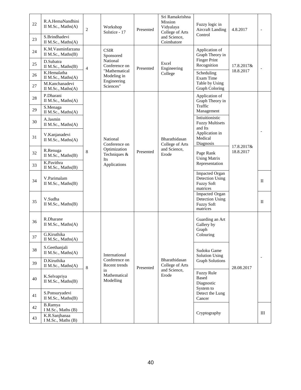| 22<br>23 | R.A.HemaNandhini<br>II M.Sc., Maths(A)<br>S.Brindhadevi<br>II M.Sc., Maths(A) | $\mathbf{2}$                    | Workshop<br>Solstice - 17                                                                            | Presented                                                                             | Sri Ramakrishna<br>Mission<br>Vidyalaya<br>College of Arts<br>and Science,<br>Coimbatore | Fuzzy logic in<br><b>Aircraft Landing</b><br>Control                             | 4.8.2017                |              |
|----------|-------------------------------------------------------------------------------|---------------------------------|------------------------------------------------------------------------------------------------------|---------------------------------------------------------------------------------------|------------------------------------------------------------------------------------------|----------------------------------------------------------------------------------|-------------------------|--------------|
| 24<br>25 | K.M.Vasminfarzana<br>II M.Sc., Maths(B)<br>D.Subatra                          |                                 | <b>CSIR</b><br>Sponsored<br>National<br>Conference on<br>"Mathematical<br>Modeling in<br>Engineering |                                                                                       | Excel                                                                                    | Application of<br>Graph Theory in<br><b>Finger Print</b>                         |                         |              |
| 26       | II M.Sc., Maths(B)<br>K.Hemalatha<br>II M.Sc., Maths(A)                       | $\overline{4}$                  |                                                                                                      | Presented                                                                             | Engineering<br>College                                                                   | Recognition<br>Scheduling<br>Exam Time<br>Table by Using                         | 17.8.2017&<br>18.8.2017 |              |
| 27       | M.Kanchanadevi<br>II M.Sc., Maths(A)                                          |                                 | Sciences"                                                                                            |                                                                                       |                                                                                          | <b>Graph Coloring</b>                                                            |                         |              |
| 28       | P.Dharani<br>II M.Sc., Maths(A)                                               |                                 |                                                                                                      |                                                                                       |                                                                                          | Application of<br>Graph Theory in<br>Traffic                                     |                         |              |
| 29       | S.Menaga<br>II M.Sc., Maths(A)                                                |                                 |                                                                                                      |                                                                                       |                                                                                          | Management                                                                       |                         |              |
| 30       | A.Jasmin<br>II M.Sc., Maths(A)                                                |                                 |                                                                                                      |                                                                                       |                                                                                          | Intiuitionistic<br><b>Fuzzy Multisets</b><br>and Its                             |                         |              |
| 31       | V.Kanjanadevi<br>II M.Sc., Maths(A)                                           | 8                               | National<br>Conference on<br>Optimization<br>Techniques &<br>Its<br>Applications                     | Presented                                                                             | Bharathidasan<br>College of Arts<br>and Science,<br>Erode                                | Application in<br>Medical<br>Diagnosis                                           | 17.8.2017&<br>18.8.2017 |              |
| 32       | R.Renuga<br>II M.Sc., $Maths(B)$                                              |                                 |                                                                                                      |                                                                                       |                                                                                          | Page Rank<br><b>Using Matrix</b>                                                 |                         |              |
| 33       | K.Pavithra<br>II M.Sc., Maths(B)                                              |                                 |                                                                                                      |                                                                                       |                                                                                          | Representation                                                                   |                         |              |
| 34       | V.Parimalam<br>II M.Sc., Maths(B)                                             |                                 |                                                                                                      |                                                                                       |                                                                                          | <b>Impacted Organ</b><br><b>Detection Using</b><br><b>Fuzzy Soft</b><br>matrices |                         | $_{\rm II}$  |
| 35       | V.Sudha<br>II M.Sc., Maths(B)                                                 |                                 |                                                                                                      |                                                                                       |                                                                                          | Impacted Organ<br>Detection Using<br><b>Fuzzy Soft</b><br>matrices               |                         | $\mathbf{I}$ |
| 36       | R.Dharane<br>II M.Sc., Maths(A)                                               |                                 |                                                                                                      |                                                                                       |                                                                                          | Guarding an Art<br>Gallery by<br>Graph                                           |                         |              |
| 37       | G.Kiruthika<br>II M.Sc., Maths(A)                                             |                                 |                                                                                                      |                                                                                       |                                                                                          | Colouring                                                                        |                         |              |
| 38       | S.Geethanjali<br>II M.Sc., Maths(A)                                           |                                 | International                                                                                        |                                                                                       |                                                                                          | Sudoku Game<br>Solution Using                                                    |                         |              |
| 39       | D.Kiruthika<br>II M.Sc., Maths(A)                                             | 8                               | Conference on<br>Recent trends                                                                       | Presented                                                                             | Bharathidasan<br>College of Arts                                                         | <b>Graph Solutions</b><br>28.08.2017                                             |                         |              |
| 40       | K.Selvapriya<br>II M.Sc., Maths(B)                                            | in<br>Mathematical<br>Modelling |                                                                                                      | and Science,<br><b>Fuzzy Rule</b><br>Erode<br><b>Based</b><br>Diagnostic<br>System to |                                                                                          |                                                                                  |                         |              |
| 41       | S.Ponsuryadevi<br>II M.Sc., Maths(B)                                          |                                 |                                                                                                      |                                                                                       |                                                                                          | Detect the Lung<br>Cancer                                                        |                         |              |
| 42       | <b>B.Ramya</b><br>I M.Sc., Maths (B)                                          |                                 |                                                                                                      |                                                                                       |                                                                                          |                                                                                  |                         |              |
| 43       | K.R.Sanjhanaa<br>I M.Sc., Maths (B)                                           |                                 |                                                                                                      |                                                                                       | Cryptography                                                                             |                                                                                  | III                     |              |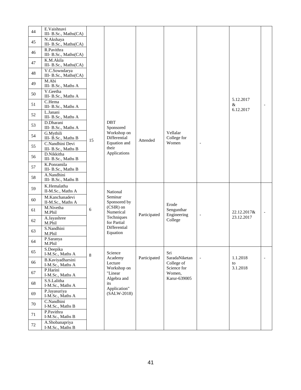| 44 | E.Vaishnavi                            |             |                               |              |                             |                          |                |                          |
|----|----------------------------------------|-------------|-------------------------------|--------------|-----------------------------|--------------------------|----------------|--------------------------|
|    | III- B.Sc., Maths(CA)<br>N.Akshaya     |             |                               |              |                             |                          |                |                          |
| 45 | III- B.Sc., Maths(CA)                  |             |                               |              |                             |                          |                |                          |
| 46 | R.Pavithra<br>III- B.Sc., Maths(CA)    |             |                               |              |                             |                          |                |                          |
| 47 | K.M.Akila                              |             |                               |              |                             |                          |                |                          |
|    | III- B.Sc., Maths(CA)<br>V.C.Sowndarya |             |                               |              |                             |                          |                |                          |
| 48 | III- B.Sc., Maths(CA)                  |             |                               |              |                             |                          |                |                          |
| 49 | M.Abi<br>III- B.Sc., Maths A           |             |                               |              |                             |                          |                |                          |
| 50 | V.Geetha<br>III- B.Sc., Maths A        |             |                               |              |                             |                          |                |                          |
| 51 | C.Hema<br>III- B.Sc., Maths A          |             |                               |              |                             |                          | 5.12.2017<br>& |                          |
|    | L.Janani                               |             |                               |              |                             |                          | 6.12.2017      |                          |
| 52 | III- B.Sc., Maths A                    |             |                               |              |                             |                          |                |                          |
| 53 | D.Dharani<br>III- B.Sc., Maths A       |             | <b>DBT</b><br>Sponsored       |              |                             |                          |                |                          |
| 54 | G.Mythili<br>III- B.Sc., Maths B       | 15          | Workshop on<br>Differential   | Attended     | Vellalar<br>College for     |                          |                |                          |
| 55 | C.Nandhini Devi<br>III- B.Sc., Maths B |             | Equation and<br>their         |              | Women                       | $\overline{\phantom{a}}$ |                |                          |
| 56 | D.Nikkitha<br>III- B.Sc., Maths B      |             | Applications                  |              |                             |                          |                |                          |
| 57 | K.Ponramila<br>III- B.Sc., Maths B     |             |                               |              |                             |                          |                |                          |
| 58 | A.Nandhini<br>III- B.Sc., Maths B      |             |                               |              |                             |                          |                |                          |
| 59 | K.Hemalatha<br>II-M.Sc., Maths A       |             | National                      |              |                             |                          |                |                          |
| 60 | M.Kanchanadevi                         |             | Seminar                       |              |                             |                          |                |                          |
|    | II-M.Sc., Maths A<br>M.Nivetha         |             | Sponsored by<br>(CSIR) on     |              | Erode                       |                          |                |                          |
| 61 | M.Phil                                 | 6           | Numerical                     | Participated | Sengunthar<br>Engineering   | $\overline{\phantom{a}}$ | 22.12.2017&    | $\overline{\phantom{a}}$ |
| 62 | A.Jayashree<br>M.Phil                  |             | Techniques<br>for Partial     |              | College                     |                          | 23.12.2017     |                          |
| 63 | S.Nandhini<br>M.Phil                   |             | Differential<br>Equation      |              |                             |                          |                |                          |
| 64 | P.Saranya<br>M.Phil                    |             |                               |              |                             |                          |                |                          |
| 65 | S.Deepika<br>I-M.Sc., Maths A          | $\,$ 8 $\,$ | Science                       |              | Sri                         |                          |                |                          |
| 66 | B.Kaviyadharsini<br>I-M.Sc., Maths A   |             | Academy<br>Lecture            | Participated | SaradaNiketan<br>College of | $\overline{\phantom{a}}$ | 1.1.2018<br>to | $\overline{\phantom{a}}$ |
| 67 | P.Harini<br>I-M.Sc., Maths A           |             | Workshop on<br>"Linear        |              | Science for<br>Women,       |                          | 3.1.2018       |                          |
| 68 | S.S.Lalitha<br>I-M.Sc., Maths A        |             | Algebra and<br>its            |              | Karur-639005                |                          |                |                          |
| 69 | P.Jayasuriya<br>I-M.Sc., Maths A       |             | Application"<br>$(SALW-2018)$ |              |                             |                          |                |                          |
| 70 | C.Nandhini<br>I-M.Sc., Maths B         |             |                               |              |                             |                          |                |                          |
| 71 | P.Pavithra                             |             |                               |              |                             |                          |                |                          |
|    | I-M.Sc., Maths B<br>A.Shobanapriya     |             |                               |              |                             |                          |                |                          |
| 72 | I-M.Sc., Maths B                       |             |                               |              |                             |                          |                |                          |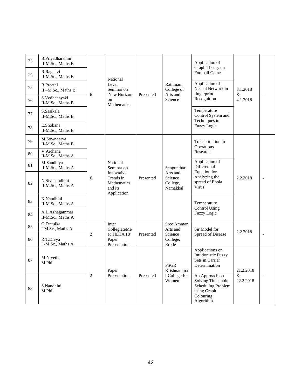| 73 | B.Priyadharshini<br>II-M.Sc., Maths B |                |                                                                                            |           |                                                           | Application of<br>Graph Theory on                                                                   |                   |  |
|----|---------------------------------------|----------------|--------------------------------------------------------------------------------------------|-----------|-----------------------------------------------------------|-----------------------------------------------------------------------------------------------------|-------------------|--|
| 74 | R.Ragahvi<br>II-M.Sc., Maths B        |                | National                                                                                   |           |                                                           | Football Game                                                                                       |                   |  |
| 75 | R.Preethi<br>II-M.Sc., Maths B        |                | Level<br>Seminar on<br>'New Horizon<br>on<br>Mathematics                                   |           | Rathinam<br>College of                                    | Application of<br>Necual Network in<br>fingerprint                                                  | 3.1.2018          |  |
| 76 | S.Vedhanayaki<br>II-M.Sc., Maths B    | 6              |                                                                                            | Presented | Arts and<br>Science                                       | Recognition                                                                                         | $\&$<br>4.1.2018  |  |
| 77 | S.Sasikala<br>II-M.Sc., Maths B       |                |                                                                                            |           |                                                           | Temperature<br>Control System and<br>Techniques in                                                  |                   |  |
| 78 | E.Shobana<br>II-M.Sc., Maths B        |                |                                                                                            |           |                                                           | <b>Fuzzy Logic</b>                                                                                  |                   |  |
| 79 | M.Sowndarya<br>II-M.Sc., Maths B      |                |                                                                                            |           |                                                           | Transportation in<br>Operations                                                                     |                   |  |
| 80 | V.Archana<br>II-M.Sc., Maths A        |                | National<br>Seminar on<br>Innovative<br>Trends in<br>Mathematics<br>and its<br>Application | Presented | Sengunthar<br>Arts and<br>Science<br>College,<br>Namakkal | Research                                                                                            |                   |  |
| 81 | M.Sandhiya<br>II-M.Sc., Maths A       |                |                                                                                            |           |                                                           | Application of<br>Differential<br>Equation for                                                      |                   |  |
| 82 | N.Sivanandhini<br>II-M.Sc., Maths A   | 6              |                                                                                            |           |                                                           | Analyzing the<br>2.2.2018<br>spread of Ebola<br>Virus                                               |                   |  |
| 83 | K.Nandhini<br>II-M.Sc., Maths A       |                |                                                                                            |           |                                                           | Temperature                                                                                         |                   |  |
| 84 | A.L.Azhagammai<br>II-M.Sc., Maths A   |                |                                                                                            |           |                                                           | <b>Control Using</b><br><b>Fuzzy Logic</b>                                                          |                   |  |
| 85 | G.Deepika<br>I-M.Sc., Maths A         |                | Inter<br>CollegiateMe                                                                      |           | Sree Amman<br>Arts and                                    | Sir Model for                                                                                       | 2.2.2018          |  |
| 86 | R.T.Divya<br>I -M.Sc., Maths A        | $\overline{2}$ | et TILTA'18'<br>Paper<br>Presentation                                                      | Presented | Science<br>College,<br>Erode                              | Spread of Disease                                                                                   |                   |  |
| 87 | M.Nivetha<br>M.Phil                   |                | Paper                                                                                      |           | <b>PSGR</b><br>Krishnamma                                 | Applications on<br><b>Intutionistic Fuzzy</b><br>Sets in Carrier<br>Determination                   | 21.2.2018         |  |
| 88 | S.Nandhini<br>M.Phil                  | 2              | Presentation                                                                               | Presented | 1 College for<br>Women                                    | An Approach on<br>Solving Time table<br>Scheduling Problem<br>using Graph<br>Colouring<br>Algorithm | $\&$<br>22.2.2018 |  |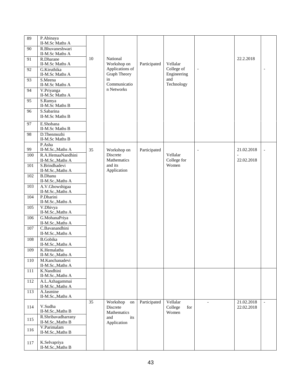| 89      | P.Abinaya<br>II-M.Sc Maths A                          |    |                                           |              |                                     |                          |                          |                          |
|---------|-------------------------------------------------------|----|-------------------------------------------|--------------|-------------------------------------|--------------------------|--------------------------|--------------------------|
| 90      | R.Bhuvaneshwari<br>II-M.Sc Maths A                    |    |                                           |              |                                     |                          |                          |                          |
| 91      | R.Dharane<br>II-M.Sc Maths A                          | 10 | National<br>Workshop on                   | Participated | Vellalar                            |                          | 22.2.2018                |                          |
| 92      | G.Kiruthika<br>II-M.Sc Maths A                        |    | Applications of<br>Graph Theory           |              | College of<br>Engineering           | $\overline{\phantom{a}}$ |                          |                          |
| 93      | S.Meena<br>II-M.Sc Maths A                            |    | in<br>Communicatio                        |              | and<br>Technology                   |                          |                          |                          |
| 94      | V.Priyanga<br>II-M.Sc Maths A                         |    | n Networks                                |              |                                     |                          |                          |                          |
| 95      | S.Ramya<br>II-M.Sc Maths B                            |    |                                           |              |                                     |                          |                          |                          |
| 96      | S.Sabarina<br>II-M.Sc Maths B                         |    |                                           |              |                                     |                          |                          |                          |
| 97      | E.Shobana<br>II-M.Sc Maths B                          |    |                                           |              |                                     |                          |                          |                          |
| 98      | D.Thenmozhi<br>II-M.Sc Maths B                        |    |                                           |              |                                     |                          |                          |                          |
| 99      | P.Asha<br>II-M.Sc., Maths A                           | 35 | Workshop on                               | Participated |                                     | $\overline{\phantom{a}}$ | 21.02.2018               |                          |
| 100     | R.A.HemaaNandhini<br>II-M.Sc., Maths A                |    | Discrete<br>Mathematics                   |              | Vellalar<br>College for             |                          | 22.02.2018               |                          |
| 101     | S.Brindhadevi<br>II-M.Sc., Maths A                    |    | and its<br>Application                    |              | Women                               |                          |                          |                          |
| 102     | <b>B.Dhanu</b><br>II-M.Sc., Maths A                   |    |                                           |              |                                     |                          |                          |                          |
| 103     | A.V.Ghowshigaa                                        |    |                                           |              |                                     |                          |                          |                          |
| 104     | II-M.Sc., Maths A<br>P.Dharini<br>II-M.Sc., Maths A   |    |                                           |              |                                     |                          |                          |                          |
| 105     | V.Dhivya<br>II-M.Sc., Maths A                         |    |                                           |              |                                     |                          |                          |                          |
| 106     | G.MohanaPriya                                         |    |                                           |              |                                     |                          |                          |                          |
| 107     | II-M.Sc., Maths A<br>C.Bavanandhini                   |    |                                           |              |                                     |                          |                          |                          |
| 108     | II-M.Sc., Maths A<br><b>B.Gobika</b>                  |    |                                           |              |                                     |                          |                          |                          |
| 109     | II-M.Sc., Maths A<br>K.Hemalatha                      |    |                                           |              |                                     |                          |                          |                          |
| 110     | II-M.Sc., Maths A<br>M.Kanchanadevi                   |    |                                           |              |                                     |                          |                          |                          |
|         | II-M.Sc., Maths A                                     |    |                                           |              |                                     |                          |                          |                          |
| $111\,$ | K.Nandhini<br>II-M.Sc., Maths A                       |    |                                           |              |                                     |                          |                          |                          |
| 112     | A.L.Azhagammai<br>II-M.Sc., Maths A                   |    |                                           |              |                                     |                          |                          |                          |
| 113     | A.Jasmine<br>II-M.Sc., Maths A                        |    |                                           |              |                                     |                          |                          |                          |
| 114     | V.Sudha<br>II-M.Sc., Maths B                          | 35 | Workshop<br>on<br>Discrete<br>Mathematics | Participated | Vellalar<br>College<br>for<br>Women | $\overline{\phantom{a}}$ | 21.02.2018<br>22.02.2018 | $\overline{\phantom{a}}$ |
| 115     | R.Shribavadharrany                                    |    | its<br>and                                |              |                                     |                          |                          |                          |
| 116     | II-M.Sc., Maths B<br>V.Parimalam<br>II-M.Sc., Maths B |    | Application                               |              |                                     |                          |                          |                          |
| 117     | K.Selvapriya<br>II-M.Sc., Maths B                     |    |                                           |              |                                     |                          |                          |                          |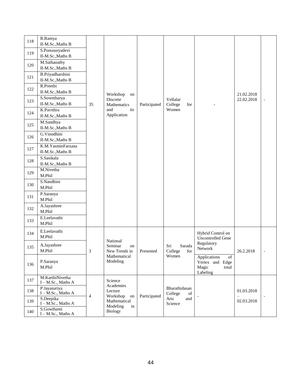| 118 | R.Ramya<br>II-M.Sc., Maths B           |                |                                            |              |                                                                                                                                |                                                                     |                        |  |
|-----|----------------------------------------|----------------|--------------------------------------------|--------------|--------------------------------------------------------------------------------------------------------------------------------|---------------------------------------------------------------------|------------------------|--|
| 119 | S.Ponusuryadevi<br>II-M.Sc., Maths B   |                |                                            |              |                                                                                                                                |                                                                     |                        |  |
| 120 | M.Sathanathy<br>II-M.Sc., Maths B      |                |                                            |              |                                                                                                                                |                                                                     |                        |  |
| 121 | B.Priyadharshini<br>II-M.Sc., Maths B  |                |                                            |              |                                                                                                                                |                                                                     |                        |  |
| 122 | R.Preethi<br>II-M.Sc., Maths B         |                | Workshop<br>on                             |              |                                                                                                                                |                                                                     | 21.02.2018             |  |
| 123 | S.Sowntharya<br>II-M.Sc., Maths B      | 35             | Discrete<br>Mathematics                    | Participated | Vellalar<br>College<br>for                                                                                                     |                                                                     | 22.02.2018             |  |
| 124 | K.Pavithra<br>II-M.Sc., Maths B        |                | and<br>its<br>Application                  |              | Women                                                                                                                          |                                                                     |                        |  |
| 125 | M.Sandhya<br>II-M.Sc., Maths B         |                |                                            |              |                                                                                                                                |                                                                     |                        |  |
| 126 | G.Vinodhini<br>II-M.Sc., Maths B       |                |                                            |              |                                                                                                                                |                                                                     |                        |  |
| 127 | K.M.YasminFarzana<br>II-M.Sc., Maths B |                |                                            |              |                                                                                                                                |                                                                     |                        |  |
| 128 | S.Sasikala<br>II-M.Sc., Maths B        |                |                                            |              |                                                                                                                                |                                                                     |                        |  |
| 129 | M.Nivetha<br>M.Phil                    |                |                                            |              |                                                                                                                                |                                                                     |                        |  |
| 130 | S.Nandhini<br>M.Phil                   |                |                                            |              |                                                                                                                                |                                                                     |                        |  |
| 131 | P.Saranya<br>M.Phil                    |                |                                            |              |                                                                                                                                |                                                                     |                        |  |
| 132 | A.Jayashree<br>M.Phil                  |                |                                            |              |                                                                                                                                |                                                                     |                        |  |
| 133 | E.Leelavathi<br>M.Phil                 |                |                                            |              |                                                                                                                                |                                                                     |                        |  |
| 134 | E.Leelavathi<br>M.Phil                 |                |                                            |              |                                                                                                                                | Hybrid Control on<br><b>Uncontrolled Gene</b>                       |                        |  |
| 135 | A.Jayashree<br>M.Phil                  | 3              | National<br>Seminar<br>on<br>New Trends in | Presented    | Sarada<br>Sri<br>College<br>for                                                                                                | Regulatory<br>Network                                               | 26.2.2018              |  |
| 136 | P.Saranya<br>M.Phil                    |                | Mathematical<br>Modeling                   |              | Women                                                                                                                          | Applications<br>of<br>Vertex and Edge<br>Magic<br>total<br>Labeling |                        |  |
| 137 | M.KarthiNivetha<br>I - M.Sc., Maths A  |                | Science<br>Academies                       |              |                                                                                                                                |                                                                     |                        |  |
| 138 | P.Jayasuriya<br>$I - M.Sc., Maths A$   | $\overline{4}$ | Lecture<br>Workshop<br>on                  | Participated | Bharathidasan<br>College<br>$% \left( \left( \mathcal{A},\mathcal{A}\right) \right) =\left( \mathcal{A},\mathcal{A}\right)$ of |                                                                     | 01.03.2018<br>$\equiv$ |  |
| 139 | S.Deepika<br>$I - M.Sc., Maths A$      |                | Mathematical<br>Modeling<br>in             |              | Arts<br>and<br>Science                                                                                                         |                                                                     | 02.03.2018             |  |
| 140 | S.Gowthami<br>I – M.Sc., Maths A       |                | Biology                                    |              |                                                                                                                                |                                                                     |                        |  |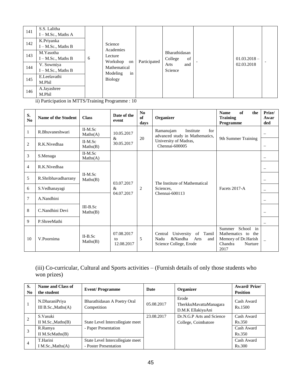| 141 | S.S. Lalitha<br>$I - M.Sc., Maths A$                         |     |                                                                               | Participated |                                | $01.03.2018 -$<br>02.03.2018 |  |
|-----|--------------------------------------------------------------|-----|-------------------------------------------------------------------------------|--------------|--------------------------------|------------------------------|--|
| 142 | K.Priyanka<br>$I - M.Sc., Maths B$                           |     | Science<br>Academies                                                          |              | Bharathidasan<br>of<br>College |                              |  |
| 143 | M.Yasotha<br>$I - M.Sc., Maths B$                            | 6   | Lecture<br>Workshop<br>on<br>Mathematical<br>in<br>Modeling<br><b>Biology</b> |              |                                |                              |  |
| 144 | V. Sowmiya<br>$I - M.Sc., Maths B$                           |     |                                                                               |              | and<br>Arts<br>Science         |                              |  |
| 145 | E.Leelavathi<br>M.Phil                                       |     |                                                                               |              |                                |                              |  |
| 146 | A.Jayashree<br>M.Phil<br>$\cdots$ $\cdots$ $\cdots$ $\cdots$ | . . | $\sim$<br>$\sim$                                                              |              |                                |                              |  |

ii) Participation in MTTS/Training Programme : 10

| S.<br>No       | Name of the Student | <b>Class</b>           | Date of the<br>event           | No<br>of<br>days                              | Organizer                                                                                        | of<br><b>Name</b><br>the<br><b>Training</b><br><b>Programme</b>                                      | Prize/<br>Awar<br>ded    |
|----------------|---------------------|------------------------|--------------------------------|-----------------------------------------------|--------------------------------------------------------------------------------------------------|------------------------------------------------------------------------------------------------------|--------------------------|
| 1              | R.Bhuvaneshwari     | $II-M.Sc$<br>Maths(A)  | 10.05.2017                     |                                               | Ramanujam<br>Institute<br>for<br>advanced study in Mathematics,                                  |                                                                                                      | $\overline{\phantom{0}}$ |
| $\overline{c}$ | R.K.Nivedhaa        | II-M.Sc<br>Maths(B)    | &<br>30.05.2017                | 20<br>University of Madras,<br>Chennai-600005 |                                                                                                  | 9th Summer Training                                                                                  | $\qquad \qquad -$        |
| 3              | S.Menaga            | $II-M.Sc$<br>Maths(A)  |                                |                                               |                                                                                                  |                                                                                                      | $\overline{\phantom{0}}$ |
| $\overline{4}$ | R.K.Nivedhaa        |                        |                                |                                               |                                                                                                  |                                                                                                      | $\overline{\phantom{0}}$ |
| 5              | R.Shribhavadharrany | $II-M.Sc$<br>Maths(B)  | 03.07.2017<br>$\&$             | $\overline{2}$                                | The Institute of Mathematical                                                                    |                                                                                                      | $\overline{\phantom{0}}$ |
| 6              | S.Vedhanayagi       |                        |                                |                                               | Sciences,                                                                                        | <b>Facets 2017-A</b>                                                                                 |                          |
| 7              | A.Nandhini          |                        | 04.07.2017                     |                                               | Chennai-600113                                                                                   |                                                                                                      |                          |
| 8              | C.Nandhini Devi     | $III-B.Sc$<br>Maths(B) |                                |                                               |                                                                                                  |                                                                                                      | $\overline{\phantom{0}}$ |
| 9              | P.ShreeMathi        |                        |                                |                                               |                                                                                                  |                                                                                                      |                          |
| 10             | V.Poornima          | $II-B.Sc$<br>Maths(B)  | 07.08.2017<br>to<br>12.08.2017 | 5                                             | University<br>of<br>Tamil<br>Central<br>&Nandha<br>Arts<br>Nadu<br>and<br>Science College, Erode | in<br>School<br>Summer<br>Mathematics to<br>the<br>Memory of Dr.Harish<br>Chandra<br>Nurture<br>2017 |                          |

# (iii) Co-curricular, Cultural and Sports activities – (Furnish details of only those students who won prizes)

| S.<br>N <sub>0</sub> | Name and Class of<br>the student        | <b>Event/Programme</b>                     | Date       | Organizer                                            | <b>Award/Prize/</b><br><b>Position</b> |
|----------------------|-----------------------------------------|--------------------------------------------|------------|------------------------------------------------------|----------------------------------------|
|                      | N.DharaniPriya<br>III $B.Sc., Maths(A)$ | Bharathidasan A Poetry Oral<br>Competition | 05.08.2017 | Erode<br>TherkkuMavattaManagara<br>D.M.K EllakiyaAni | Cash Award<br>Rs.1500                  |
| $\overline{2}$       | S.Vasuki                                |                                            | 23.08.2017 | Dr.N.G.P Arts and Science                            | Cash Award                             |
|                      | II M.Sc., Maths $(B)$                   | State Level Intercollegiate meet           |            | College, Coimbatore                                  | Rs.350                                 |
|                      | R.Ramya                                 | - Paper Presentation                       |            |                                                      | Cash Award                             |
|                      | II M.ScMaths $(B)$                      |                                            |            |                                                      | Rs.350                                 |
| $\overline{4}$       | T.Harini                                | State Level Intercollegiate meet           |            |                                                      | Cash Award                             |
|                      | I M.Sc., Maths $(A)$                    | - Poster Presentation                      |            |                                                      | Rs.300                                 |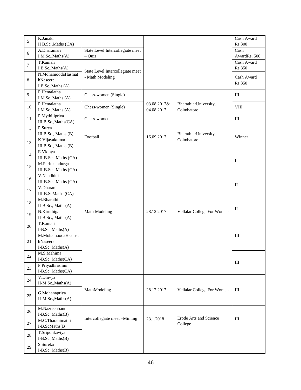| 5              | K.Janaki              |                                  |             |                            | Cash Award   |
|----------------|-----------------------|----------------------------------|-------------|----------------------------|--------------|
|                | II B.Sc., Maths (CA)  |                                  |             |                            | Rs.300       |
| 6              | A.Dharanisri          | State Level Intercollegiate meet |             |                            | Cash         |
|                | I M.Sc., Maths(A)     | - Quiz                           |             |                            | AwardRs. 500 |
| $\overline{7}$ | T.Kamali              |                                  |             |                            | Cash Award   |
|                | I B.Sc., Maths(A)     | State Level Intercollegiate meet |             |                            | Rs.350       |
|                | N.MohamoodaHasmat     | - Math Modeling                  |             |                            | Cash Award   |
| 8              | hNaseera              |                                  |             |                            | Rs.350       |
|                | I B.Sc., Maths (A)    |                                  |             |                            |              |
| 9              | P.Hemalatha           | Chess-women (Single)             |             |                            | III          |
|                | I M.Sc., Maths (A)    |                                  |             |                            |              |
| 10             | P.Hemalatha           | Chess-women (Single)             | 03.08.2017& | BharathiarUniversity,      | <b>VIII</b>  |
|                | I M.Sc., Maths (A)    |                                  | 04.08.2017  | Coimbatore                 |              |
| 11             | P.Mythilipriya        | Chess-women                      |             |                            | Ш            |
|                | III B.Sc., Maths(CA)  |                                  |             |                            |              |
| 12             | P.Surya               |                                  |             |                            |              |
|                | III B.Sc., Maths (B)  | Football                         | 16.09.2017  | BharathiarUniversity,      | Winner       |
| 13             | K.Vijayakumari        |                                  |             | Coimbatore                 |              |
|                | III B.Sc., Maths (B)  |                                  |             |                            |              |
| 14             | E.Vidhya              |                                  |             |                            |              |
|                | III-B.Sc., Maths (CA) |                                  |             |                            | Ι            |
| 15             | M.Parimaladurga       |                                  |             |                            |              |
|                | III-B.Sc., Maths (CA) |                                  |             |                            |              |
| 16             | V.Nandhini            |                                  |             |                            |              |
|                | III-B.Sc., Maths (CA) |                                  |             |                            | $\mathbf{I}$ |
| 17             | V.Dharani             |                                  |             |                            |              |
|                | III-B.ScMaths (CA)    |                                  |             |                            |              |
| 18             | M.Bharathi            |                                  |             |                            |              |
|                | II-B.Sc., Maths(A)    |                                  |             |                            | П            |
| 19             | N.Kiruthiga           | Math Modeling                    | 28.12.2017  | Vellalar College For Women |              |
|                | II-B.Sc., Maths(A)    |                                  |             |                            |              |
| 20             | T.Kamali              |                                  |             |                            |              |
|                | I-B.Sc., Maths(A)     |                                  |             |                            |              |
|                | M.MohamoodaHasmat     |                                  |             |                            | III          |
| 21             | hNaseera              |                                  |             |                            |              |
|                | I-B.Sc., Maths(A)     |                                  |             |                            |              |
| $22\,$         | M.S.Mahima            |                                  |             |                            |              |
|                | I-B.Sc., Maths(CA)    |                                  |             |                            | III          |
| 23             | P.Priyadhrashini      |                                  |             |                            |              |
|                | I-B.Sc., Maths (CA)   |                                  |             |                            |              |
| 24             | V.Dhivya              |                                  |             |                            |              |
|                | II-M.Sc., Maths(A)    |                                  |             |                            |              |
|                | G.Mohanapriya         | MathModeling                     | 28.12.2017  | Vellalar College For Women | III          |
| 25             | II-M.Sc., Maths(A)    |                                  |             |                            |              |
|                |                       |                                  |             |                            |              |
| 26             | M.Nazreenbanu         |                                  |             |                            |              |
|                | I-B.Sc., Maths(B)     |                                  |             |                            |              |
| 27             | M.C.Tharanimathi      | Intercollegiate meet -Miming     | 23.1.2018   | Erode Arts and Science     | III          |
|                | I-B.ScMaths(B)        |                                  |             | College                    |              |
|                | T.Sriponkaviya        |                                  |             |                            |              |
| $28\,$         | I-B.Sc., Maths(B)     |                                  |             |                            |              |
|                | S.Sureka              |                                  |             |                            |              |
| 29             | I-B.Sc., Maths(B)     |                                  |             |                            |              |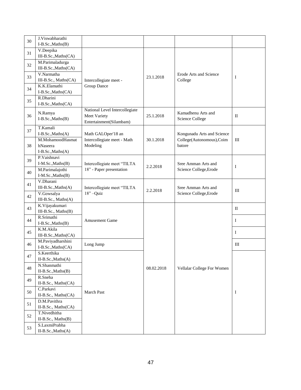|    | J.Viswabharathi                     |                                |            |                            |                    |
|----|-------------------------------------|--------------------------------|------------|----------------------------|--------------------|
| 30 | $I-B.Sc., Maths(B)$                 |                                |            |                            |                    |
|    | V.Deepika                           |                                |            |                            |                    |
| 31 | III-B.Sc., Maths(CA)                |                                |            |                            |                    |
|    | M.Parimaladurga                     |                                |            |                            |                    |
| 32 | III-B.Sc., Maths(CA)                |                                |            |                            |                    |
|    | V.Narmatha                          |                                |            | Erode Arts and Science     |                    |
| 33 | III-B.Sc., Maths(CA)                | Intercollegiate meet -         | 23.1.2018  | College                    | I                  |
|    | K.K.Elamathi                        | Group Dance                    |            |                            |                    |
| 34 | I-B.Sc., Maths(CA)                  |                                |            |                            |                    |
| 35 | R.Dharini                           |                                |            |                            |                    |
|    | I-B.Sc., Maths(CA)                  |                                |            |                            |                    |
|    | N.Ramya                             | National Level Intercollegiate |            | Kamadhenu Arts and         |                    |
| 36 | I-B.Sc., Maths(B)                   | Meet Variety                   | 25.1.2018  | Science College            | $_{\rm II}$        |
|    |                                     | Entertainment(Silambam)        |            |                            |                    |
| 37 | T.Kamali                            |                                |            |                            |                    |
|    | I-B.Sc., Maths(A)                   | Math GALOper'18 an             |            | Kongunadu Arts and Science |                    |
|    | M.MohamoodHasmat                    | Intercollegiate meet - Math    | 30.1.2018  | College(Autonomous), Coim  | Ш                  |
| 38 | hNaseera                            | Modeling                       |            | batore                     |                    |
|    | I-B.Sc., Maths(A)                   |                                |            |                            |                    |
| 39 | P.Vaishnavi                         |                                |            |                            |                    |
|    | I-M.Sc., Maths(B)                   | Intercollegiate meet "TILTA    | 2.2.2018   | Sree Amman Arts and        | I                  |
| 40 | M.Parimalajothi                     | 18" - Paper presentation       |            | Science College, Erode     |                    |
|    | I-M.Sc., Maths(B)                   |                                |            |                            |                    |
| 41 | V.Dharani                           |                                |            |                            |                    |
|    | III-B.Sc., Maths(A)                 | Intercollegiate meet "TILTA    | 2.2.2018   | Sree Amman Arts and        | Ш                  |
| 42 | V.Gowsalya                          | 18"-Quiz                       |            | Science College, Erode     |                    |
|    | III-B.Sc., Maths(A)                 |                                |            |                            |                    |
| 43 | K.Vijayakumari                      |                                |            |                            | $\rm{II}$          |
|    | III-B.Sc., Maths(B)                 |                                |            |                            |                    |
| 44 | R.Srimathi                          | <b>Amusement Game</b>          |            |                            | I                  |
|    | I-B.Sc., Maths(B)                   |                                |            |                            |                    |
| 45 | K.M.Akila                           |                                |            |                            | I                  |
|    | III-B.Sc., Maths(CA)                |                                |            |                            |                    |
| 46 | M.Paviyadharshini                   | Long Jump                      |            |                            | $\mathop{\rm III}$ |
|    | I-B.Sc., Maths (CA)<br>S.Keerthika  |                                |            |                            |                    |
| 47 |                                     |                                |            |                            |                    |
|    | $II-B.Sc., Maths(A)$<br>N.Shanmathi |                                |            |                            |                    |
| 48 | II-B.Sc., Maths(B)                  |                                | 08.02.2018 | Vellalar College For Women |                    |
|    | R.Sneha                             |                                |            |                            |                    |
| 49 | II-B.Sc., Maths(CA)                 |                                |            |                            |                    |
|    | C.Parkavi                           |                                |            |                            |                    |
| 50 | II-B.Sc., Maths(CA)                 | March Past                     |            |                            | I                  |
|    | D.M.Pavithra                        |                                |            |                            |                    |
| 51 | II-B.Sc., Maths(CA)                 |                                |            |                            |                    |
|    | T.Nivedhitha                        |                                |            |                            |                    |
| 52 | II-B.Sc., Maths(B)                  |                                |            |                            |                    |
|    | S.LaxmiPrabha                       |                                |            |                            |                    |
| 53 | II-B.Sc., Maths(A)                  |                                |            |                            |                    |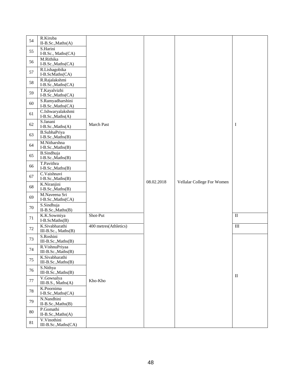|    | R.Kiruba                                |                       |            |                            |                   |
|----|-----------------------------------------|-----------------------|------------|----------------------------|-------------------|
| 54 | II-B.Sc., Maths(A)                      |                       |            |                            |                   |
| 55 | S.Harini<br>I-B.Sc., Maths(CA)          |                       |            |                            |                   |
| 56 | M.Rithika<br>I-B.Sc., Maths (CA)        |                       |            |                            |                   |
| 57 | R.Lishagobika<br>I-B.ScMaths(CA)        |                       |            |                            |                   |
| 58 | R.Rajalakshmi<br>I-B.Sc., Maths(CA)     |                       |            |                            |                   |
| 59 | T.Kayalvizhi<br>I-B.Sc., Maths(CA)      |                       |            |                            |                   |
| 60 | S.Ramyadharshini<br>I-B.Sc., Maths(CA)  |                       |            |                            |                   |
| 61 | C.Ishwaryalakshmi<br>I-B.Sc., Maths(A)  |                       |            |                            |                   |
| 62 | S.Janani<br>I-B.Sc., Maths(A)           | March Past            |            |                            | I                 |
| 63 | B.SubhaPriya<br>I-B.Sc., Maths(B)       |                       |            |                            |                   |
| 64 | M.Nitharshna<br>I-B.Sc., Maths(B)       |                       |            |                            |                   |
| 65 | <b>B.Sindhuja</b><br>I-B.Sc., Maths(B)  |                       |            |                            |                   |
| 66 | T.Pavithra<br>I-B.Sc., Maths(B)         |                       |            |                            |                   |
| 67 | C.Vaishnavi<br>I-B.Sc., Maths(B)        |                       | 08.02.2018 | Vellalar College For Women |                   |
| 68 | K.Niranjini<br>I-B.Sc., Maths(B)        |                       |            |                            |                   |
| 69 | M.Naveena Sri<br>I-B.Sc., Maths (CA)    |                       |            |                            |                   |
| 70 | S.Sindhuja<br>II-B.Sc., Maths(B)        |                       |            |                            |                   |
| 71 | K.K.Sowmiya<br>I-B.ScMaths(B)           | Shot-Put              |            |                            | $\mathop{\rm II}$ |
| 72 | K.Sivabharathi<br>III-B.Sc., Maths(B)   | 400 metres(Athletics) |            |                            | $\rm III$         |
| 73 | S.Roshini<br>III-B.Sc., Maths(B)        |                       |            |                            |                   |
| 74 | R.VishnuPriyaa<br>$III-B.Sc., Maths(B)$ |                       |            |                            |                   |
| 75 | K.Sivabharathi<br>III-B.Sc., Maths(B)   |                       |            |                            |                   |
| 76 | S.Nithya<br>$III-B.Sc., Maths(B)$       |                       |            |                            |                   |
| 77 | V.Gowsalya<br>III-B.S., Maths(A)        | Kho-Kho               |            |                            | $\mathbf{I}$      |
| 78 | K.Poornima<br>I-B.Sc., Maths(CA)        |                       |            |                            |                   |
| 79 | N.Nandhini<br>II-B.Sc., Maths(B)        |                       |            |                            |                   |
| 80 | P.Gomathi<br>II-B.Sc., Maths(A)         |                       |            |                            |                   |
| 81 | V.Vinothini<br>III-B.Sc., Maths(CA)     |                       |            |                            |                   |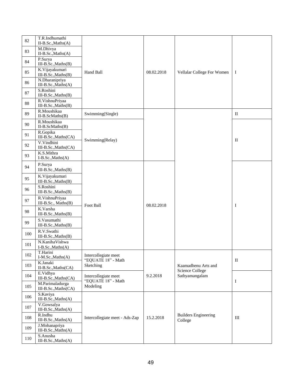| 82     | T.R.Indhumathi<br>$II-B.Sc., Maths(A)$  |                                            |            |                                        |                            |
|--------|-----------------------------------------|--------------------------------------------|------------|----------------------------------------|----------------------------|
| 83     | M.Dhivya<br>II-B.Sc., Maths(A)          |                                            |            |                                        |                            |
| 84     | P.Surya<br>III-B.Sc., Maths(B)          |                                            |            |                                        |                            |
| 85     | K.Vijayakumari<br>III-B.Sc., Maths(B)   | Hand Ball                                  | 08.02.2018 | Vellalar College For Women             | Ι                          |
| 86     | N.Dharanipriya<br>III-B.Sc., Maths(A)   |                                            |            |                                        |                            |
| $87\,$ | S.Roshini<br>III-B.Sc., Maths(B)        |                                            |            |                                        |                            |
| $88\,$ | R.VishnuPriyaa<br>III-B.Sc., Maths(B)   |                                            |            |                                        |                            |
| 89     | R.Moushikaa<br>II-B.ScMaths(B)          | Swimming(Single)                           |            |                                        | $\mathbf{I}$               |
| 90     | R.Moushikaa<br>II-B.ScMaths(B)          |                                            |            |                                        |                            |
| 91     | R.Gopika<br>III-B.Sc., Maths(CA)        | Swimming(Relay)                            |            |                                        | $\mathop{\rm II}\nolimits$ |
| 92     | V.Vindhini<br>III-B.Sc., Maths(CA)      |                                            |            |                                        |                            |
| 93     | K.S.Mithra<br>I-B.Sc., Maths(A)         |                                            |            |                                        |                            |
| 94     | P.Surya<br>III-B.Sc., Maths(B)          |                                            |            |                                        |                            |
| 95     | K.Vijayakumari<br>$III-B.Sc., Maths(B)$ |                                            |            |                                        |                            |
| 96     | S.Roshini<br>III-B.Sc., Maths(B)        |                                            |            |                                        |                            |
| 97     | R.VishnuPriyaa<br>III-B.Sc., Maths(B)   |                                            |            |                                        |                            |
| 98     | K.Varsha<br>III-B.Sc., Maths(B)         | Foot Ball                                  | 08.02.2018 |                                        | I                          |
| 99     | S.Vasumathi<br>III-B.Sc., Maths(B)      |                                            |            |                                        |                            |
| 100    | R.V.Swathi<br>III-B.Sc., Maths(B)       |                                            |            |                                        |                            |
| 101    | N.KanihaVishwa<br>I-B.Sc., Maths(A)     |                                            |            |                                        |                            |
| 102    | T.Harini<br>I-M.Sc., Maths(A)           | Intercollegiate meet<br>"EQUATE 18" - Math |            |                                        | $\mathop{\rm II}\nolimits$ |
| 103    | K.Janaki<br>II-B.Sc., Maths(CA)         | Sketching                                  |            | Kaamadhenu Arts and                    |                            |
| 104    | E.Vidhya<br>III-B.Sc., Maths(CA)        | Intercollegiate meet                       | 9.2.2018   | Science College<br>Sathyamangalam      |                            |
| 105    | M.Parimaladurga<br>III-B.Sc., Maths(CA) | "EQUATE 18" - Math<br>Modeling             |            |                                        | Ι                          |
| 106    | S.Kaviya<br>III-B.Sc., Maths(A)         |                                            |            |                                        |                            |
| 107    | V.Gowsalya<br>III-B.Sc., Maths(A)       |                                            |            |                                        |                            |
| 108    | R.Indhu<br>III-B.Sc., Maths(A)          | Intercollegiate meet - Ads-Zap             | 15.2.2018  | <b>Builders Engineering</b><br>College | $\rm III$                  |
| 109    | J.Mohanapriya<br>III-B.Sc., Maths(A)    |                                            |            |                                        |                            |
| 110    | S.Anusha<br>III-B.Sc., Maths(A)         |                                            |            |                                        |                            |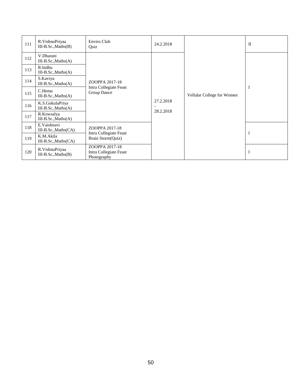| 111 | R.VishnuPriyaa<br>$III-B.Sc., Maths(B)$  | Enviro Club<br>Quiz                                     | 24.2.2018              |                            | $\mathbf{I}$ |
|-----|------------------------------------------|---------------------------------------------------------|------------------------|----------------------------|--------------|
| 112 | V.Dharani<br>$III-B.Sc., Maths(A)$       |                                                         |                        |                            |              |
| 113 | R.Indhu<br>$III-B.Sc., Maths(A)$         |                                                         |                        |                            |              |
| 114 | S.Kaviya<br>$III-B.Sc., Maths(A)$        | ZOOPPA 2017-18                                          |                        |                            |              |
| 115 | C.Hema<br>$III-B.Sc., Maths(A)$          | Intra Collegiate Feast<br>Group Dance                   | 27.2.2018<br>28.2.2018 | Vellalar College for Women | Ι            |
| 116 | K.S.GokulaPriya<br>$III-B.Sc., Maths(A)$ |                                                         |                        |                            |              |
| 117 | R.Kowsalya<br>$III-B.Sc., Maths(A)$      |                                                         |                        |                            |              |
| 118 | E.Vaishnavi<br>$III-B.Sc., Maths(CA)$    | ZOOPPA 2017-18                                          |                        |                            | I            |
| 119 | K.M.Akila<br>$III-B.Sc., Maths(CA)$      | Intra Collegiate Feast<br>Brain Storm(Quiz)             |                        |                            |              |
| 120 | R.VishnuPriyaa<br>$III-B.Sc., Maths(B)$  | ZOOPPA 2017-18<br>Intra Collegiate Feast<br>Photography |                        |                            | I            |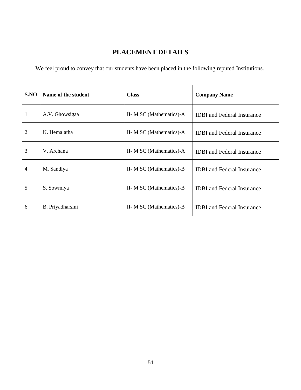# **PLACEMENT DETAILS**

We feel proud to convey that our students have been placed in the following reputed Institutions.

| S.NO | Name of the student | <b>Class</b>             | <b>Company Name</b>               |
|------|---------------------|--------------------------|-----------------------------------|
| 1    | A.V. Ghowsigaa      | II- M.SC (Mathematics)-A | <b>IDBI</b> and Federal Insurance |
| 2    | K. Hemalatha        | II- M.SC (Mathematics)-A | <b>IDBI</b> and Federal Insurance |
| 3    | V. Archana          | II- M.SC (Mathematics)-A | <b>IDBI</b> and Federal Insurance |
| 4    | M. Sandiya          | II- M.SC (Mathematics)-B | <b>IDBI</b> and Federal Insurance |
| 5    | S. Sowmiya          | II- M.SC (Mathematics)-B | <b>IDBI</b> and Federal Insurance |
| 6    | B. Priyadharsini    | II- M.SC (Mathematics)-B | <b>IDBI</b> and Federal Insurance |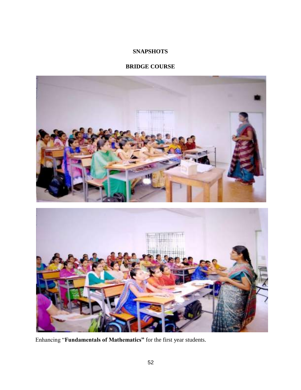# **SNAPSHOTS**

# **BRIDGE COURSE**



Enhancing "**Fundamentals of Mathematics"** for the first year students.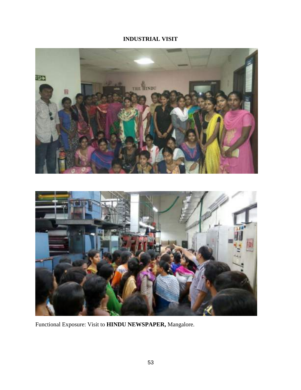# **INDUSTRIAL VISIT**



Functional Exposure: Visit to **HINDU NEWSPAPER,** Mangalore.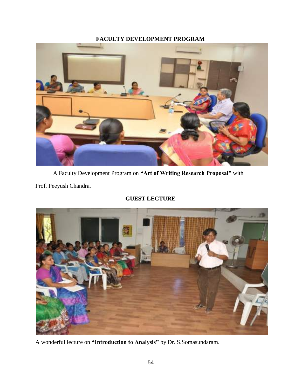# **FACULTY DEVELOPMENT PROGRAM**



A Faculty Development Program on **"Art of Writing Research Proposal"** with

Prof. Peeyush Chandra.

# **GUEST LECTURE**



A wonderful lecture on **"Introduction to Analysis"** by Dr. S.Somasundaram.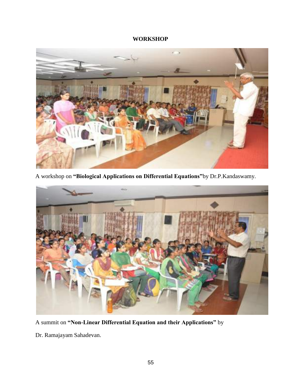# **WORKSHOP**



A workshop on **"Biological Applications on Differential Equations"**by Dr.P.Kandaswamy.



A summit on **"Non-Linear Differential Equation and their Applications"** by

Dr. Ramajayam Sahadevan.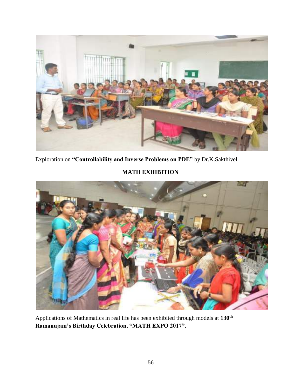

Exploration on **"Controllability and Inverse Problems on PDE"** by Dr.K.Sakthivel.

# **MATH EXHIBITION**



Applications of Mathematics in real life has been exhibited through models at **130th Ramanujam's Birthday Celebration, "MATH EXPO 2017"**.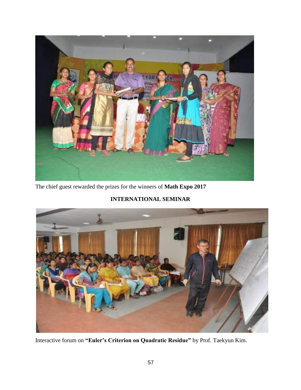

The chief guest rewarded the prizes for the winners of **Math Expo 2017**

# **INTERNATIONAL SEMINAR**



Interactive forum on **"Euler's Criterion on Quadratic Residue"** by Prof. Taekyun Kim.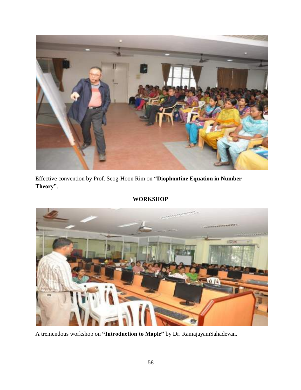

Effective convention by Prof. Seog-Hoon Rim on **"Diophantine Equation in Number Theory"**.





A tremendous workshop on **"Introduction to Maple"** by Dr. RamajayamSahadevan.